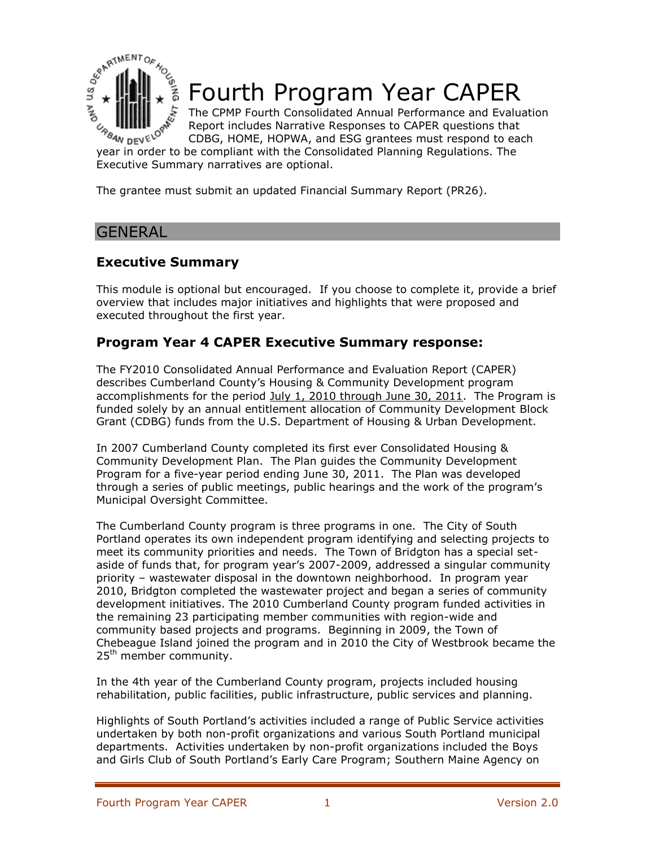

# Fourth Program Year CAPER

The CPMP Fourth Consolidated Annual Performance and Evaluation Report includes Narrative Responses to CAPER questions that CDBG, HOME, HOPWA, and ESG grantees must respond to each  $\mathcal{L}_{\mathcal{P}_{\mathcal{B}_{4N}}}\in \mathbb{R}^{\mathbb{N}}$  Report includes ivaluative is sponsored to be CDBG, HOME, HOPWA, and ESG grantees must respond to early year in order to be compliant with the Consolidated Planning Regulations. The

Executive Summary narratives are optional.

The grantee must submit an updated Financial Summary Report (PR26).

### **GENERAL**

# **Executive Summary**

This module is optional but encouraged. If you choose to complete it, provide a brief overview that includes major initiatives and highlights that were proposed and executed throughout the first year.

### **Program Year 4 CAPER Executive Summary response:**

The FY2010 Consolidated Annual Performance and Evaluation Report (CAPER) describes Cumberland County's Housing & Community Development program accomplishments for the period July 1, 2010 through June 30, 2011. The Program is funded solely by an annual entitlement allocation of Community Development Block Grant (CDBG) funds from the U.S. Department of Housing & Urban Development.

In 2007 Cumberland County completed its first ever Consolidated Housing & Community Development Plan. The Plan guides the Community Development Program for a five-year period ending June 30, 2011. The Plan was developed through a series of public meetings, public hearings and the work of the program's Municipal Oversight Committee.

The Cumberland County program is three programs in one. The City of South Portland operates its own independent program identifying and selecting projects to meet its community priorities and needs. The Town of Bridgton has a special setaside of funds that, for program year's 2007-2009, addressed a singular community priority – wastewater disposal in the downtown neighborhood. In program year 2010, Bridgton completed the wastewater project and began a series of community development initiatives. The 2010 Cumberland County program funded activities in the remaining 23 participating member communities with region-wide and community based projects and programs. Beginning in 2009, the Town of Chebeague Island joined the program and in 2010 the City of Westbrook became the 25<sup>th</sup> member community.

In the 4th year of the Cumberland County program, projects included housing rehabilitation, public facilities, public infrastructure, public services and planning.

Highlights of South Portland's activities included a range of Public Service activities undertaken by both non-profit organizations and various South Portland municipal departments. Activities undertaken by non-profit organizations included the Boys and Girls Club of South Portland's Early Care Program; Southern Maine Agency on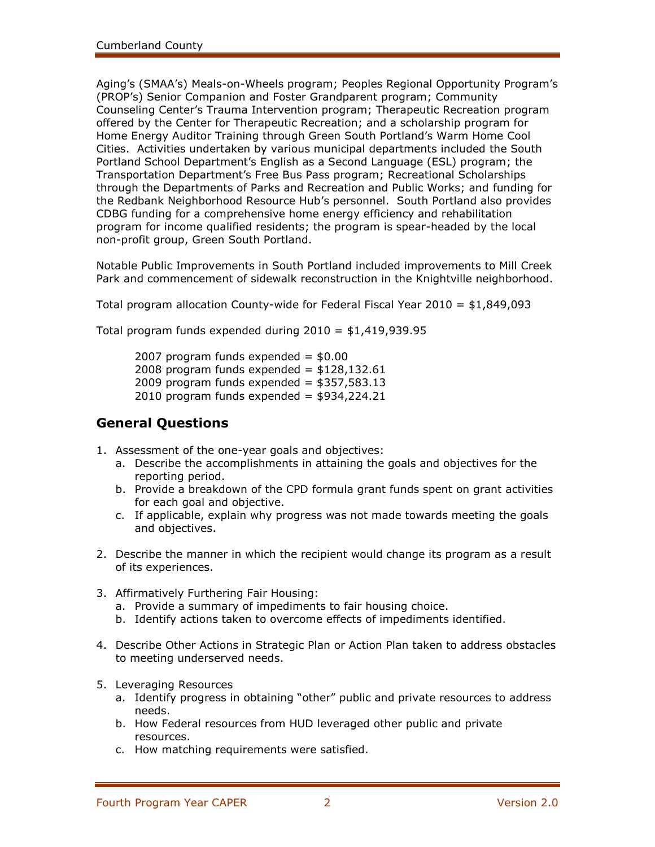Aging's (SMAA's) Meals-on-Wheels program; Peoples Regional Opportunity Program's (PROP's) Senior Companion and Foster Grandparent program; Community Counseling Center's Trauma Intervention program; Therapeutic Recreation program offered by the Center for Therapeutic Recreation; and a scholarship program for Home Energy Auditor Training through Green South Portland's Warm Home Cool Cities. Activities undertaken by various municipal departments included the South Portland School Department's English as a Second Language (ESL) program; the Transportation Department's Free Bus Pass program; Recreational Scholarships through the Departments of Parks and Recreation and Public Works; and funding for the Redbank Neighborhood Resource Hub's personnel. South Portland also provides CDBG funding for a comprehensive home energy efficiency and rehabilitation program for income qualified residents; the program is spear-headed by the local non-profit group, Green South Portland.

Notable Public Improvements in South Portland included improvements to Mill Creek Park and commencement of sidewalk reconstruction in the Knightville neighborhood.

Total program allocation County-wide for Federal Fiscal Year 2010 = \$1,849,093

Total program funds expended during  $2010 = $1,419,939.95$ 

2007 program funds expended  $=$  \$0.00 2008 program funds expended =  $$128,132.61$ 2009 program funds expended =  $$357,583.13$ 2010 program funds expended =  $$934,224.21$ 

### **General Questions**

- 1. Assessment of the one-year goals and objectives:
	- a. Describe the accomplishments in attaining the goals and objectives for the reporting period.
	- b. Provide a breakdown of the CPD formula grant funds spent on grant activities for each goal and objective.
	- c. If applicable, explain why progress was not made towards meeting the goals and objectives.
- 2. Describe the manner in which the recipient would change its program as a result of its experiences.
- 3. Affirmatively Furthering Fair Housing:
	- a. Provide a summary of impediments to fair housing choice.
	- b. Identify actions taken to overcome effects of impediments identified.
- 4. Describe Other Actions in Strategic Plan or Action Plan taken to address obstacles to meeting underserved needs.
- 5. Leveraging Resources
	- a. Identify progress in obtaining "other" public and private resources to address needs.
	- b. How Federal resources from HUD leveraged other public and private resources.
	- c. How matching requirements were satisfied.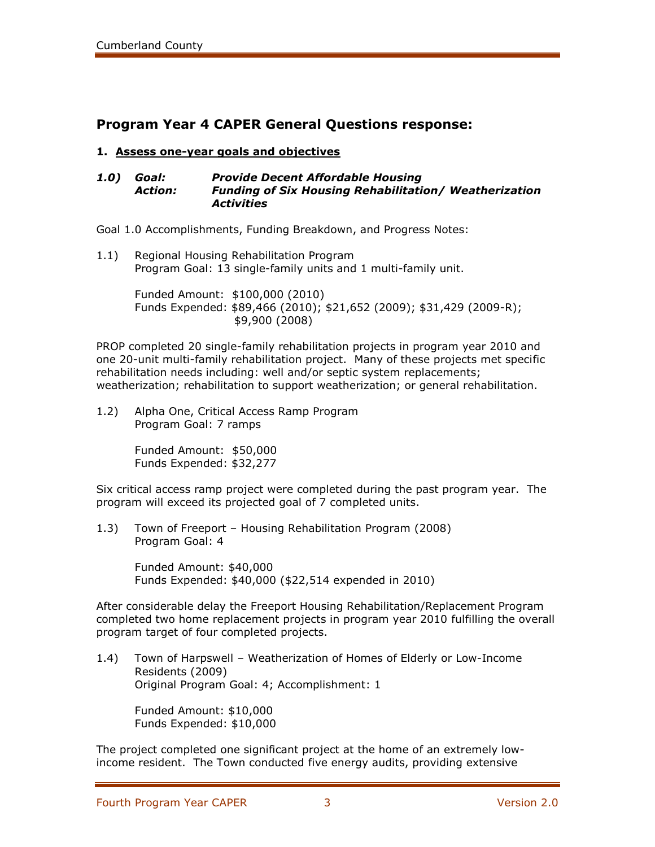# **Program Year 4 CAPER General Questions response:**

#### **1. Assess one-year goals and objectives**

#### *1.0) Goal: Provide Decent Affordable Housing Action: Funding of Six Housing Rehabilitation/ Weatherization Activities*

Goal 1.0 Accomplishments, Funding Breakdown, and Progress Notes:

1.1) Regional Housing Rehabilitation Program Program Goal: 13 single-family units and 1 multi-family unit.

> Funded Amount: \$100,000 (2010) Funds Expended: \$89,466 (2010); \$21,652 (2009); \$31,429 (2009-R); \$9,900 (2008)

PROP completed 20 single-family rehabilitation projects in program year 2010 and one 20-unit multi-family rehabilitation project. Many of these projects met specific rehabilitation needs including: well and/or septic system replacements; weatherization; rehabilitation to support weatherization; or general rehabilitation.

1.2) Alpha One, Critical Access Ramp Program Program Goal: 7 ramps

> Funded Amount: \$50,000 Funds Expended: \$32,277

Six critical access ramp project were completed during the past program year. The program will exceed its projected goal of 7 completed units.

1.3) Town of Freeport – Housing Rehabilitation Program (2008) Program Goal: 4

> Funded Amount: \$40,000 Funds Expended: \$40,000 (\$22,514 expended in 2010)

After considerable delay the Freeport Housing Rehabilitation/Replacement Program completed two home replacement projects in program year 2010 fulfilling the overall program target of four completed projects.

1.4) Town of Harpswell – Weatherization of Homes of Elderly or Low-Income Residents (2009) Original Program Goal: 4; Accomplishment: 1

Funded Amount: \$10,000 Funds Expended: \$10,000

The project completed one significant project at the home of an extremely lowincome resident. The Town conducted five energy audits, providing extensive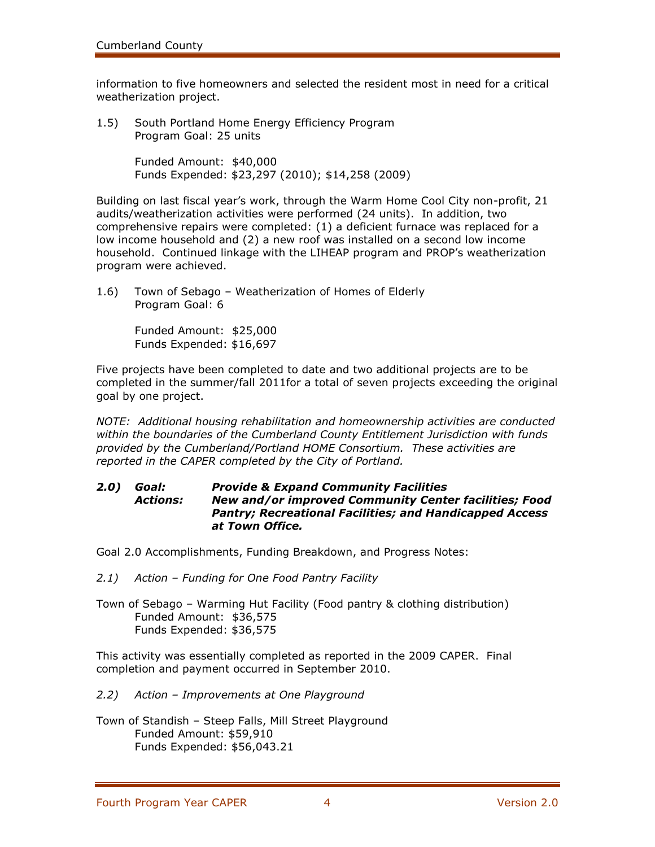information to five homeowners and selected the resident most in need for a critical weatherization project.

1.5) South Portland Home Energy Efficiency Program Program Goal: 25 units

> Funded Amount: \$40,000 Funds Expended: \$23,297 (2010); \$14,258 (2009)

Building on last fiscal year's work, through the Warm Home Cool City non-profit, 21 audits/weatherization activities were performed (24 units). In addition, two comprehensive repairs were completed: (1) a deficient furnace was replaced for a low income household and (2) a new roof was installed on a second low income household. Continued linkage with the LIHEAP program and PROP's weatherization program were achieved.

1.6) Town of Sebago – Weatherization of Homes of Elderly Program Goal: 6

> Funded Amount: \$25,000 Funds Expended: \$16,697

Five projects have been completed to date and two additional projects are to be completed in the summer/fall 2011for a total of seven projects exceeding the original goal by one project.

*NOTE: Additional housing rehabilitation and homeownership activities are conducted within the boundaries of the Cumberland County Entitlement Jurisdiction with funds provided by the Cumberland/Portland HOME Consortium. These activities are reported in the CAPER completed by the City of Portland.*

#### *2.0) Goal: Provide & Expand Community Facilities Actions: New and/or improved Community Center facilities; Food Pantry; Recreational Facilities; and Handicapped Access at Town Office.*

Goal 2.0 Accomplishments, Funding Breakdown, and Progress Notes:

- *2.1) Action – Funding for One Food Pantry Facility*
- Town of Sebago Warming Hut Facility (Food pantry & clothing distribution) Funded Amount: \$36,575 Funds Expended: \$36,575

This activity was essentially completed as reported in the 2009 CAPER. Final completion and payment occurred in September 2010.

- *2.2) Action – Improvements at One Playground*
- Town of Standish Steep Falls, Mill Street Playground Funded Amount: \$59,910 Funds Expended: \$56,043.21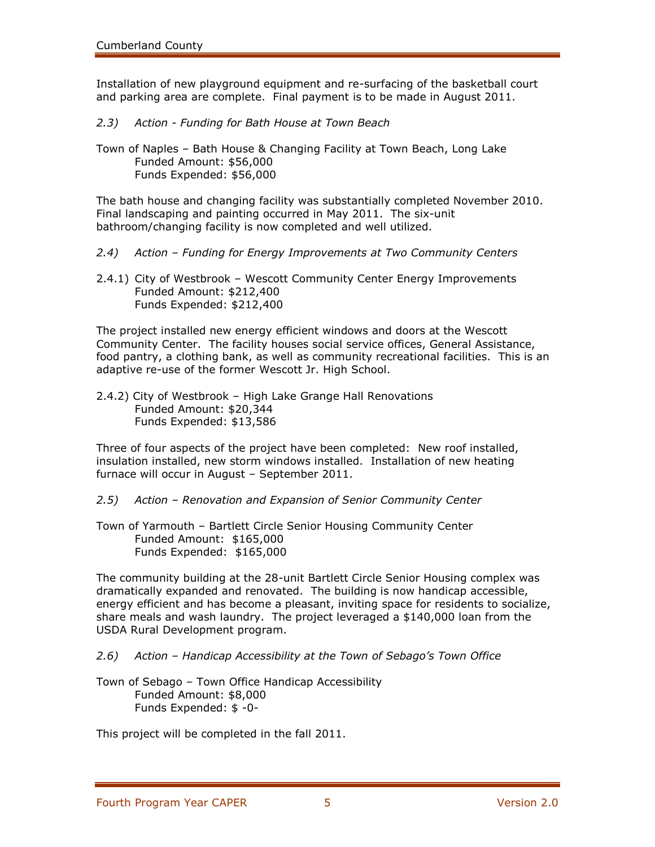Installation of new playground equipment and re-surfacing of the basketball court and parking area are complete. Final payment is to be made in August 2011.

*2.3) Action - Funding for Bath House at Town Beach*

Town of Naples – Bath House & Changing Facility at Town Beach, Long Lake Funded Amount: \$56,000 Funds Expended: \$56,000

The bath house and changing facility was substantially completed November 2010. Final landscaping and painting occurred in May 2011. The six-unit bathroom/changing facility is now completed and well utilized.

- *2.4) Action – Funding for Energy Improvements at Two Community Centers*
- 2.4.1) City of Westbrook Wescott Community Center Energy Improvements Funded Amount: \$212,400 Funds Expended: \$212,400

The project installed new energy efficient windows and doors at the Wescott Community Center. The facility houses social service offices, General Assistance, food pantry, a clothing bank, as well as community recreational facilities. This is an adaptive re-use of the former Wescott Jr. High School.

2.4.2) City of Westbrook – High Lake Grange Hall Renovations Funded Amount: \$20,344 Funds Expended: \$13,586

Three of four aspects of the project have been completed: New roof installed, insulation installed, new storm windows installed. Installation of new heating furnace will occur in August – September 2011.

- *2.5) Action – Renovation and Expansion of Senior Community Center*
- Town of Yarmouth Bartlett Circle Senior Housing Community Center Funded Amount: \$165,000 Funds Expended: \$165,000

The community building at the 28-unit Bartlett Circle Senior Housing complex was dramatically expanded and renovated. The building is now handicap accessible, energy efficient and has become a pleasant, inviting space for residents to socialize, share meals and wash laundry. The project leveraged a \$140,000 loan from the USDA Rural Development program.

- *2.6) Action – Handicap Accessibility at the Town of Sebago's Town Office*
- Town of Sebago Town Office Handicap Accessibility Funded Amount: \$8,000 Funds Expended: \$ -0-

This project will be completed in the fall 2011.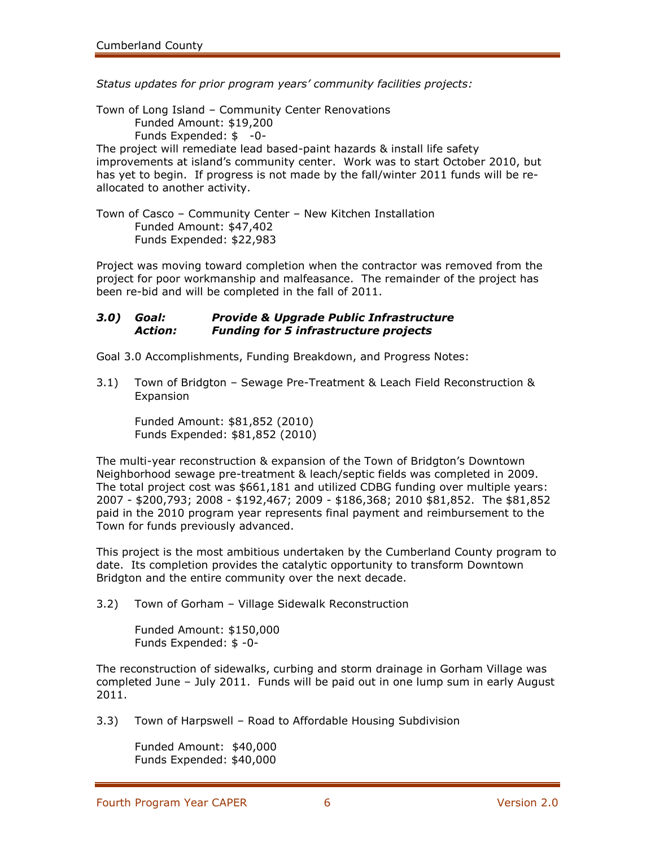*Status updates for prior program years' community facilities projects:*

Town of Long Island – Community Center Renovations Funded Amount: \$19,200 Funds Expended: \$ -0- The project will remediate lead based-paint hazards & install life safety improvements at island's community center. Work was to start October 2010, but has yet to begin. If progress is not made by the fall/winter 2011 funds will be reallocated to another activity.

Town of Casco – Community Center – New Kitchen Installation Funded Amount: \$47,402 Funds Expended: \$22,983

Project was moving toward completion when the contractor was removed from the project for poor workmanship and malfeasance. The remainder of the project has been re-bid and will be completed in the fall of 2011.

### *3.0) Goal: Provide & Upgrade Public Infrastructure Action: Funding for 5 infrastructure projects*

Goal 3.0 Accomplishments, Funding Breakdown, and Progress Notes:

3.1) Town of Bridgton – Sewage Pre-Treatment & Leach Field Reconstruction & Expansion

Funded Amount: \$81,852 (2010) Funds Expended: \$81,852 (2010)

The multi-year reconstruction & expansion of the Town of Bridgton's Downtown Neighborhood sewage pre-treatment & leach/septic fields was completed in 2009. The total project cost was \$661,181 and utilized CDBG funding over multiple years: 2007 - \$200,793; 2008 - \$192,467; 2009 - \$186,368; 2010 \$81,852. The \$81,852 paid in the 2010 program year represents final payment and reimbursement to the Town for funds previously advanced.

This project is the most ambitious undertaken by the Cumberland County program to date. Its completion provides the catalytic opportunity to transform Downtown Bridgton and the entire community over the next decade.

3.2) Town of Gorham – Village Sidewalk Reconstruction

Funded Amount: \$150,000 Funds Expended: \$ -0-

The reconstruction of sidewalks, curbing and storm drainage in Gorham Village was completed June – July 2011. Funds will be paid out in one lump sum in early August 2011.

3.3) Town of Harpswell – Road to Affordable Housing Subdivision

Funded Amount: \$40,000 Funds Expended: \$40,000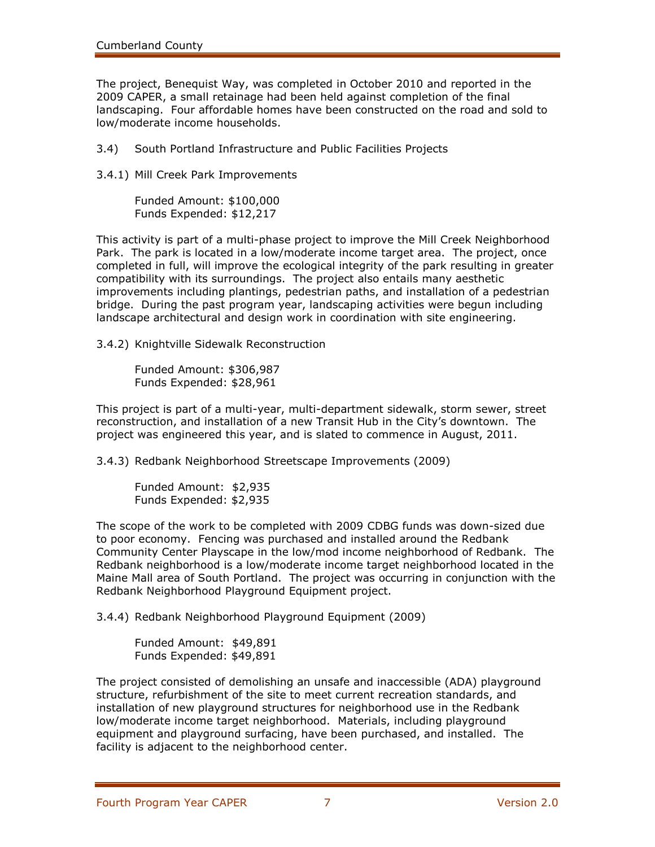The project, Benequist Way, was completed in October 2010 and reported in the 2009 CAPER, a small retainage had been held against completion of the final landscaping. Four affordable homes have been constructed on the road and sold to low/moderate income households.

3.4) South Portland Infrastructure and Public Facilities Projects

3.4.1) Mill Creek Park Improvements

Funded Amount: \$100,000 Funds Expended: \$12,217

This activity is part of a multi-phase project to improve the Mill Creek Neighborhood Park. The park is located in a low/moderate income target area. The project, once completed in full, will improve the ecological integrity of the park resulting in greater compatibility with its surroundings. The project also entails many aesthetic improvements including plantings, pedestrian paths, and installation of a pedestrian bridge. During the past program year, landscaping activities were begun including landscape architectural and design work in coordination with site engineering.

3.4.2) Knightville Sidewalk Reconstruction

Funded Amount: \$306,987 Funds Expended: \$28,961

This project is part of a multi-year, multi-department sidewalk, storm sewer, street reconstruction, and installation of a new Transit Hub in the City's downtown. The project was engineered this year, and is slated to commence in August, 2011.

3.4.3) Redbank Neighborhood Streetscape Improvements (2009)

Funded Amount: \$2,935 Funds Expended: \$2,935

The scope of the work to be completed with 2009 CDBG funds was down-sized due to poor economy. Fencing was purchased and installed around the Redbank Community Center Playscape in the low/mod income neighborhood of Redbank. The Redbank neighborhood is a low/moderate income target neighborhood located in the Maine Mall area of South Portland. The project was occurring in conjunction with the Redbank Neighborhood Playground Equipment project.

3.4.4) Redbank Neighborhood Playground Equipment (2009)

Funded Amount: \$49,891 Funds Expended: \$49,891

The project consisted of demolishing an unsafe and inaccessible (ADA) playground structure, refurbishment of the site to meet current recreation standards, and installation of new playground structures for neighborhood use in the Redbank low/moderate income target neighborhood. Materials, including playground equipment and playground surfacing, have been purchased, and installed. The facility is adjacent to the neighborhood center.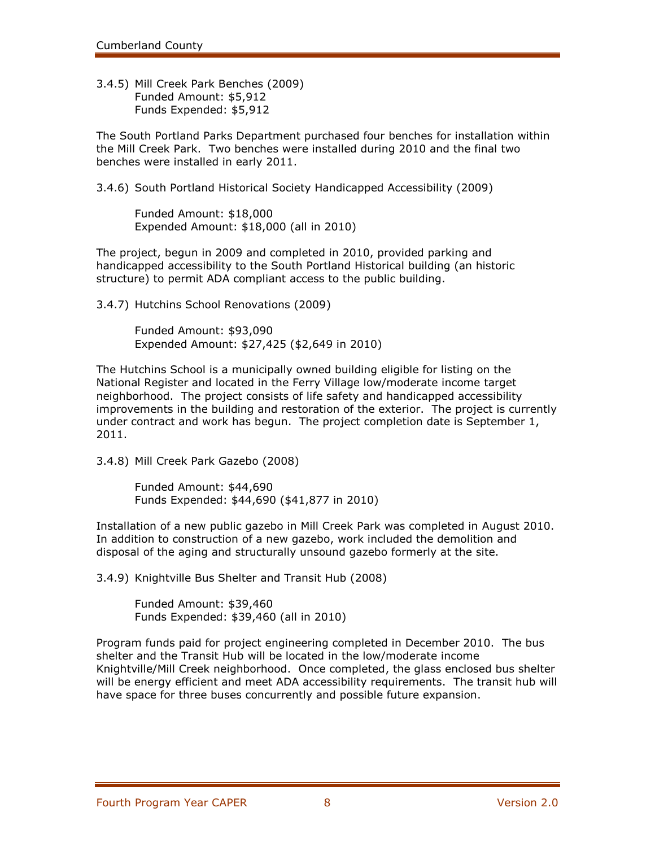3.4.5) Mill Creek Park Benches (2009) Funded Amount: \$5,912 Funds Expended: \$5,912

The South Portland Parks Department purchased four benches for installation within the Mill Creek Park. Two benches were installed during 2010 and the final two benches were installed in early 2011.

3.4.6) South Portland Historical Society Handicapped Accessibility (2009)

Funded Amount: \$18,000 Expended Amount: \$18,000 (all in 2010)

The project, begun in 2009 and completed in 2010, provided parking and handicapped accessibility to the South Portland Historical building (an historic structure) to permit ADA compliant access to the public building.

3.4.7) Hutchins School Renovations (2009)

Funded Amount: \$93,090 Expended Amount: \$27,425 (\$2,649 in 2010)

The Hutchins School is a municipally owned building eligible for listing on the National Register and located in the Ferry Village low/moderate income target neighborhood. The project consists of life safety and handicapped accessibility improvements in the building and restoration of the exterior. The project is currently under contract and work has begun. The project completion date is September 1, 2011.

3.4.8) Mill Creek Park Gazebo (2008)

Funded Amount: \$44,690 Funds Expended: \$44,690 (\$41,877 in 2010)

Installation of a new public gazebo in Mill Creek Park was completed in August 2010. In addition to construction of a new gazebo, work included the demolition and disposal of the aging and structurally unsound gazebo formerly at the site.

3.4.9) Knightville Bus Shelter and Transit Hub (2008)

Funded Amount: \$39,460 Funds Expended: \$39,460 (all in 2010)

Program funds paid for project engineering completed in December 2010. The bus shelter and the Transit Hub will be located in the low/moderate income Knightville/Mill Creek neighborhood. Once completed, the glass enclosed bus shelter will be energy efficient and meet ADA accessibility requirements. The transit hub will have space for three buses concurrently and possible future expansion.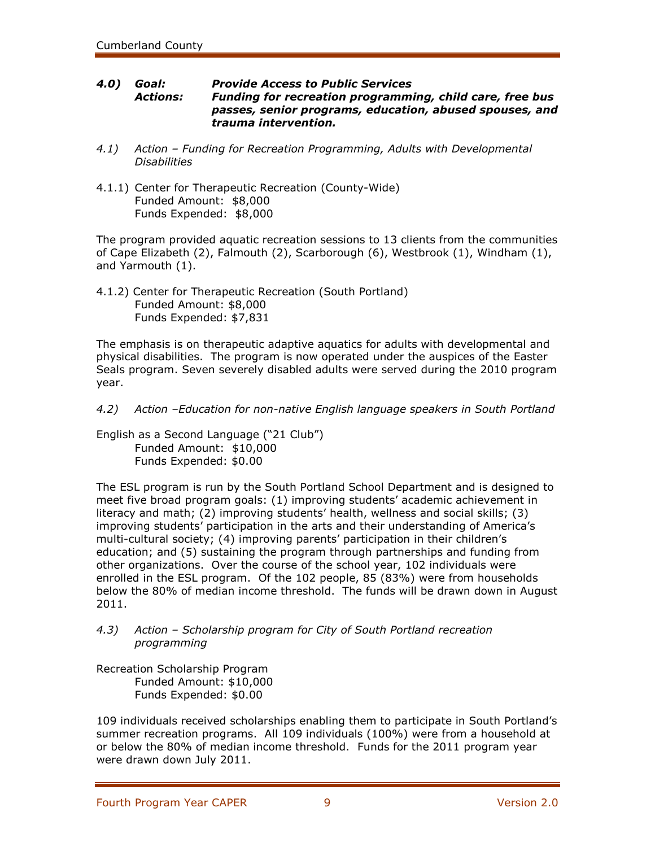#### *4.0) Goal: Provide Access to Public Services Actions: Funding for recreation programming, child care, free bus passes, senior programs, education, abused spouses, and trauma intervention.*

- *4.1) Action – Funding for Recreation Programming, Adults with Developmental Disabilities*
- 4.1.1) Center for Therapeutic Recreation (County-Wide) Funded Amount: \$8,000 Funds Expended: \$8,000

The program provided aquatic recreation sessions to 13 clients from the communities of Cape Elizabeth (2), Falmouth (2), Scarborough (6), Westbrook (1), Windham (1), and Yarmouth (1).

4.1.2) Center for Therapeutic Recreation (South Portland) Funded Amount: \$8,000 Funds Expended: \$7,831

The emphasis is on therapeutic adaptive aquatics for adults with developmental and physical disabilities. The program is now operated under the auspices of the Easter Seals program. Seven severely disabled adults were served during the 2010 program year.

*4.2) Action –Education for non-native English language speakers in South Portland*

English as a Second Language ("21 Club") Funded Amount: \$10,000 Funds Expended: \$0.00

The ESL program is run by the South Portland School Department and is designed to meet five broad program goals: (1) improving students' academic achievement in literacy and math; (2) improving students' health, wellness and social skills; (3) improving students' participation in the arts and their understanding of America's multi-cultural society; (4) improving parents' participation in their children's education; and (5) sustaining the program through partnerships and funding from other organizations. Over the course of the school year, 102 individuals were enrolled in the ESL program. Of the 102 people, 85 (83%) were from households below the 80% of median income threshold. The funds will be drawn down in August 2011.

### *4.3) Action – Scholarship program for City of South Portland recreation programming*

Recreation Scholarship Program Funded Amount: \$10,000 Funds Expended: \$0.00

109 individuals received scholarships enabling them to participate in South Portland's summer recreation programs. All 109 individuals (100%) were from a household at or below the 80% of median income threshold. Funds for the 2011 program year were drawn down July 2011.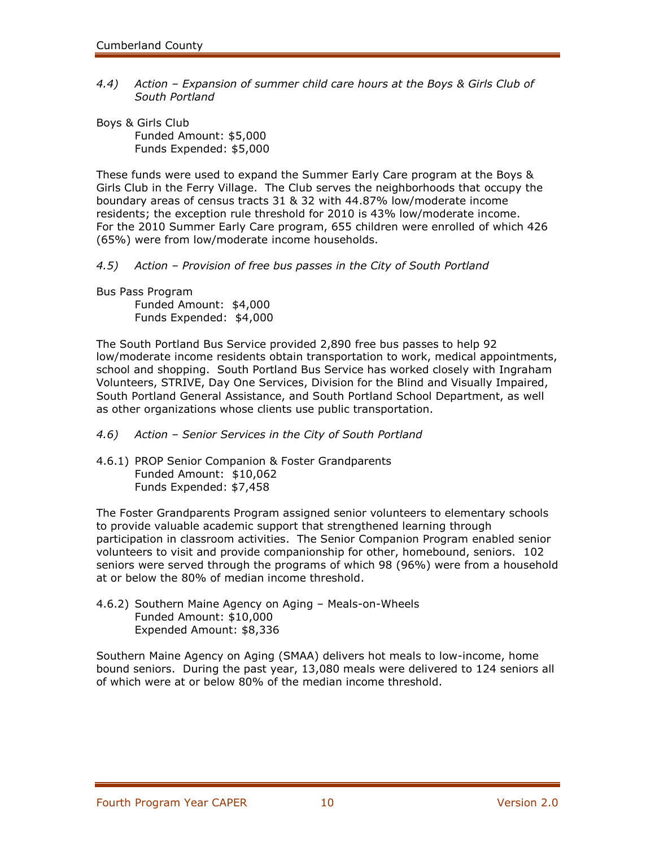*4.4) Action – Expansion of summer child care hours at the Boys & Girls Club of South Portland*

Boys & Girls Club Funded Amount: \$5,000 Funds Expended: \$5,000

These funds were used to expand the Summer Early Care program at the Boys & Girls Club in the Ferry Village. The Club serves the neighborhoods that occupy the boundary areas of census tracts 31 & 32 with 44.87% low/moderate income residents; the exception rule threshold for 2010 is 43% low/moderate income. For the 2010 Summer Early Care program, 655 children were enrolled of which 426 (65%) were from low/moderate income households.

*4.5) Action – Provision of free bus passes in the City of South Portland*

Bus Pass Program

Funded Amount: \$4,000 Funds Expended: \$4,000

The South Portland Bus Service provided 2,890 free bus passes to help 92 low/moderate income residents obtain transportation to work, medical appointments, school and shopping. South Portland Bus Service has worked closely with Ingraham Volunteers, STRIVE, Day One Services, Division for the Blind and Visually Impaired, South Portland General Assistance, and South Portland School Department, as well as other organizations whose clients use public transportation.

- *4.6) Action – Senior Services in the City of South Portland*
- 4.6.1) PROP Senior Companion & Foster Grandparents Funded Amount: \$10,062 Funds Expended: \$7,458

The Foster Grandparents Program assigned senior volunteers to elementary schools to provide valuable academic support that strengthened learning through participation in classroom activities. The Senior Companion Program enabled senior volunteers to visit and provide companionship for other, homebound, seniors. 102 seniors were served through the programs of which 98 (96%) were from a household at or below the 80% of median income threshold.

4.6.2) Southern Maine Agency on Aging – Meals-on-Wheels Funded Amount: \$10,000 Expended Amount: \$8,336

Southern Maine Agency on Aging (SMAA) delivers hot meals to low-income, home bound seniors. During the past year, 13,080 meals were delivered to 124 seniors all of which were at or below 80% of the median income threshold.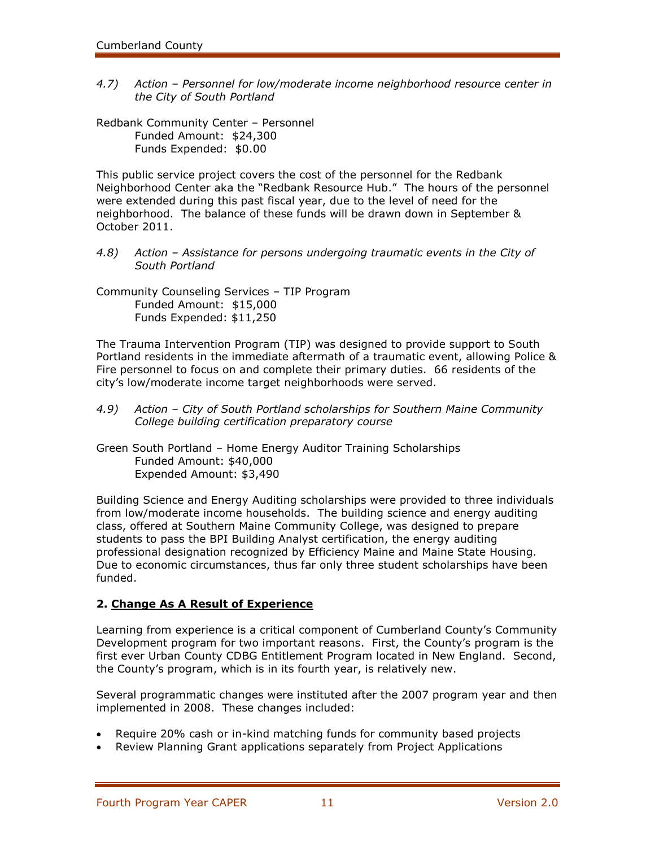4.7) Action – Personnel for low/moderate income neighborhood resource center in *the City of South Portland*

Redbank Community Center – Personnel Funded Amount: \$24,300 Funds Expended: \$0.00

This public service project covers the cost of the personnel for the Redbank Neighborhood Center aka the "Redbank Resource Hub." The hours of the personnel were extended during this past fiscal year, due to the level of need for the neighborhood. The balance of these funds will be drawn down in September & October 2011.

*4.8) Action – Assistance for persons undergoing traumatic events in the City of South Portland*

Community Counseling Services – TIP Program Funded Amount: \$15,000 Funds Expended: \$11,250

The Trauma Intervention Program (TIP) was designed to provide support to South Portland residents in the immediate aftermath of a traumatic event, allowing Police & Fire personnel to focus on and complete their primary duties. 66 residents of the city's low/moderate income target neighborhoods were served.

- *4.9) Action – City of South Portland scholarships for Southern Maine Community College building certification preparatory course*
- Green South Portland Home Energy Auditor Training Scholarships Funded Amount: \$40,000 Expended Amount: \$3,490

Building Science and Energy Auditing scholarships were provided to three individuals from low/moderate income households. The building science and energy auditing class, offered at Southern Maine Community College, was designed to prepare students to pass the BPI Building Analyst certification, the energy auditing professional designation recognized by Efficiency Maine and Maine State Housing. Due to economic circumstances, thus far only three student scholarships have been funded.

### **2. Change As A Result of Experience**

Learning from experience is a critical component of Cumberland County's Community Development program for two important reasons. First, the County's program is the first ever Urban County CDBG Entitlement Program located in New England. Second, the County's program, which is in its fourth year, is relatively new.

Several programmatic changes were instituted after the 2007 program year and then implemented in 2008. These changes included:

- Require 20% cash or in-kind matching funds for community based projects
- Review Planning Grant applications separately from Project Applications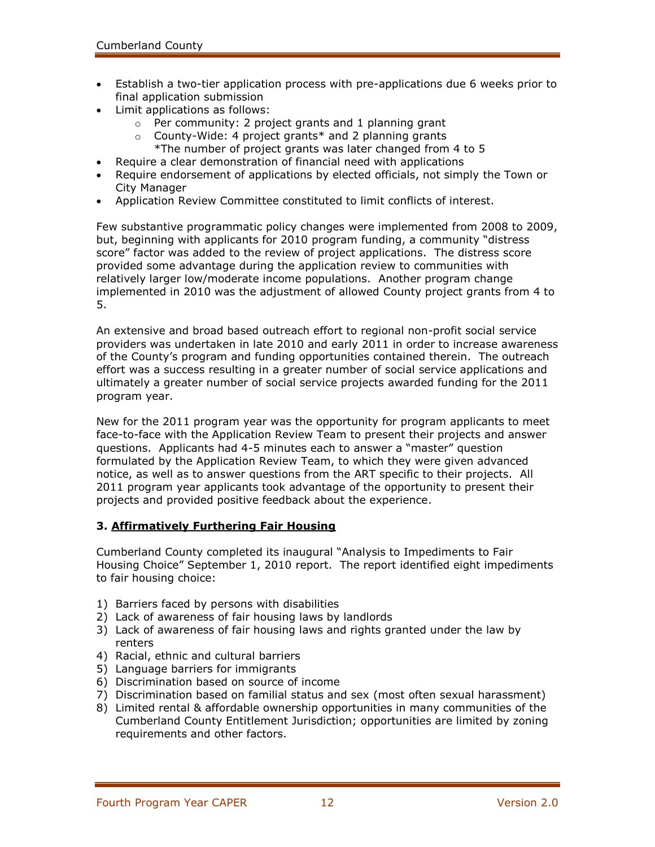- Establish a two-tier application process with pre-applications due 6 weeks prior to final application submission
- Limit applications as follows:
	- o Per community: 2 project grants and 1 planning grant
	- $\circ$  County-Wide: 4 project grants\* and 2 planning grants \*The number of project grants was later changed from 4 to 5
- Require a clear demonstration of financial need with applications
- Require endorsement of applications by elected officials, not simply the Town or City Manager
- Application Review Committee constituted to limit conflicts of interest.

Few substantive programmatic policy changes were implemented from 2008 to 2009, but, beginning with applicants for 2010 program funding, a community "distress score" factor was added to the review of project applications. The distress score provided some advantage during the application review to communities with relatively larger low/moderate income populations. Another program change implemented in 2010 was the adjustment of allowed County project grants from 4 to 5.

An extensive and broad based outreach effort to regional non-profit social service providers was undertaken in late 2010 and early 2011 in order to increase awareness of the County's program and funding opportunities contained therein. The outreach effort was a success resulting in a greater number of social service applications and ultimately a greater number of social service projects awarded funding for the 2011 program year.

New for the 2011 program year was the opportunity for program applicants to meet face-to-face with the Application Review Team to present their projects and answer questions. Applicants had 4-5 minutes each to answer a "master" question formulated by the Application Review Team, to which they were given advanced notice, as well as to answer questions from the ART specific to their projects. All 2011 program year applicants took advantage of the opportunity to present their projects and provided positive feedback about the experience.

### **3. Affirmatively Furthering Fair Housing**

Cumberland County completed its inaugural "Analysis to Impediments to Fair Housing Choice" September 1, 2010 report. The report identified eight impediments to fair housing choice:

- 1) Barriers faced by persons with disabilities
- 2) Lack of awareness of fair housing laws by landlords
- 3) Lack of awareness of fair housing laws and rights granted under the law by renters
- 4) Racial, ethnic and cultural barriers
- 5) Language barriers for immigrants
- 6) Discrimination based on source of income
- 7) Discrimination based on familial status and sex (most often sexual harassment)
- 8) Limited rental & affordable ownership opportunities in many communities of the Cumberland County Entitlement Jurisdiction; opportunities are limited by zoning requirements and other factors.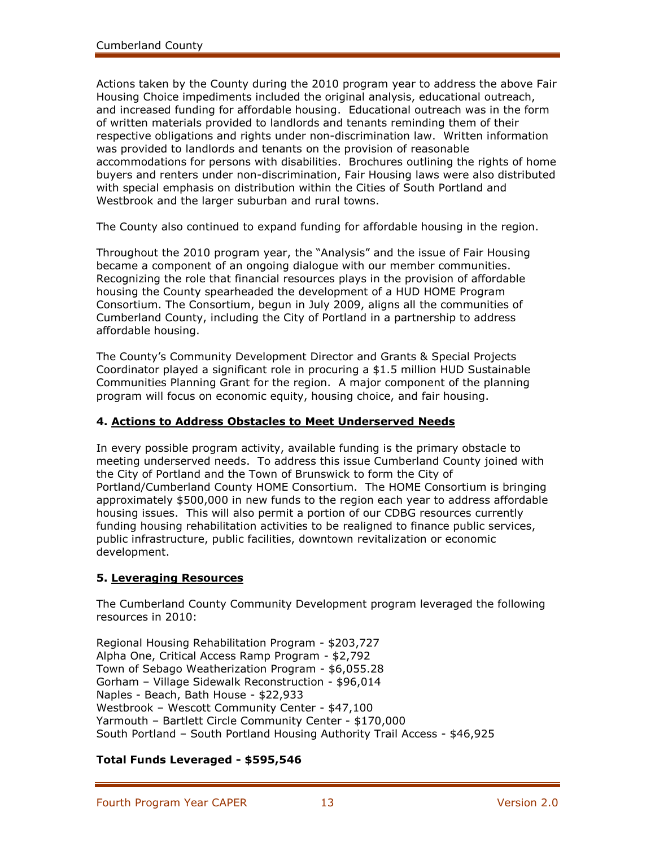Actions taken by the County during the 2010 program year to address the above Fair Housing Choice impediments included the original analysis, educational outreach, and increased funding for affordable housing. Educational outreach was in the form of written materials provided to landlords and tenants reminding them of their respective obligations and rights under non-discrimination law. Written information was provided to landlords and tenants on the provision of reasonable accommodations for persons with disabilities. Brochures outlining the rights of home buyers and renters under non-discrimination, Fair Housing laws were also distributed with special emphasis on distribution within the Cities of South Portland and Westbrook and the larger suburban and rural towns.

The County also continued to expand funding for affordable housing in the region.

Throughout the 2010 program year, the "Analysis" and the issue of Fair Housing became a component of an ongoing dialogue with our member communities. Recognizing the role that financial resources plays in the provision of affordable housing the County spearheaded the development of a HUD HOME Program Consortium. The Consortium, begun in July 2009, aligns all the communities of Cumberland County, including the City of Portland in a partnership to address affordable housing.

The County's Community Development Director and Grants & Special Projects Coordinator played a significant role in procuring a \$1.5 million HUD Sustainable Communities Planning Grant for the region. A major component of the planning program will focus on economic equity, housing choice, and fair housing.

### **4. Actions to Address Obstacles to Meet Underserved Needs**

In every possible program activity, available funding is the primary obstacle to meeting underserved needs. To address this issue Cumberland County joined with the City of Portland and the Town of Brunswick to form the City of Portland/Cumberland County HOME Consortium. The HOME Consortium is bringing approximately \$500,000 in new funds to the region each year to address affordable housing issues. This will also permit a portion of our CDBG resources currently funding housing rehabilitation activities to be realigned to finance public services, public infrastructure, public facilities, downtown revitalization or economic development.

### **5. Leveraging Resources**

The Cumberland County Community Development program leveraged the following resources in 2010:

Regional Housing Rehabilitation Program - \$203,727 Alpha One, Critical Access Ramp Program - \$2,792 Town of Sebago Weatherization Program - \$6,055.28 Gorham – Village Sidewalk Reconstruction - \$96,014 Naples - Beach, Bath House - \$22,933 Westbrook – Wescott Community Center - \$47,100 Yarmouth – Bartlett Circle Community Center - \$170,000 South Portland – South Portland Housing Authority Trail Access - \$46,925

### **Total Funds Leveraged - \$595,546**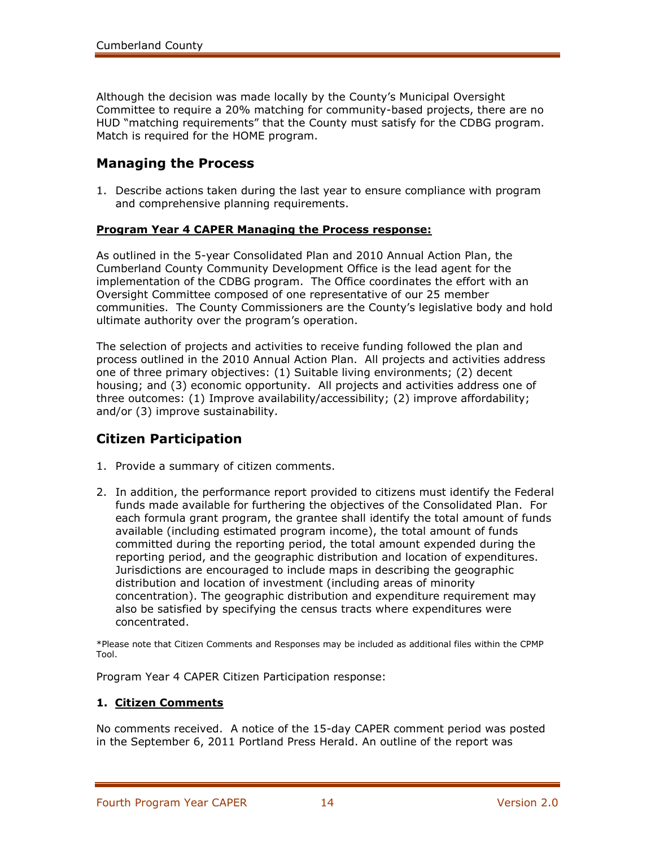Although the decision was made locally by the County's Municipal Oversight Committee to require a 20% matching for community-based projects, there are no HUD "matching requirements" that the County must satisfy for the CDBG program. Match is required for the HOME program.

### **Managing the Process**

1. Describe actions taken during the last year to ensure compliance with program and comprehensive planning requirements.

#### **Program Year 4 CAPER Managing the Process response:**

As outlined in the 5-year Consolidated Plan and 2010 Annual Action Plan, the Cumberland County Community Development Office is the lead agent for the implementation of the CDBG program. The Office coordinates the effort with an Oversight Committee composed of one representative of our 25 member communities. The County Commissioners are the County's legislative body and hold ultimate authority over the program's operation.

The selection of projects and activities to receive funding followed the plan and process outlined in the 2010 Annual Action Plan. All projects and activities address one of three primary objectives: (1) Suitable living environments; (2) decent housing; and (3) economic opportunity. All projects and activities address one of three outcomes: (1) Improve availability/accessibility; (2) improve affordability; and/or (3) improve sustainability.

# **Citizen Participation**

- 1. Provide a summary of citizen comments.
- 2. In addition, the performance report provided to citizens must identify the Federal funds made available for furthering the objectives of the Consolidated Plan. For each formula grant program, the grantee shall identify the total amount of funds available (including estimated program income), the total amount of funds committed during the reporting period, the total amount expended during the reporting period, and the geographic distribution and location of expenditures. Jurisdictions are encouraged to include maps in describing the geographic distribution and location of investment (including areas of minority concentration). The geographic distribution and expenditure requirement may also be satisfied by specifying the census tracts where expenditures were concentrated.

\*Please note that Citizen Comments and Responses may be included as additional files within the CPMP Tool.

Program Year 4 CAPER Citizen Participation response:

### **1. Citizen Comments**

No comments received.A notice of the 15-day CAPER comment period was posted in the September 6, 2011 Portland Press Herald. An outline of the report was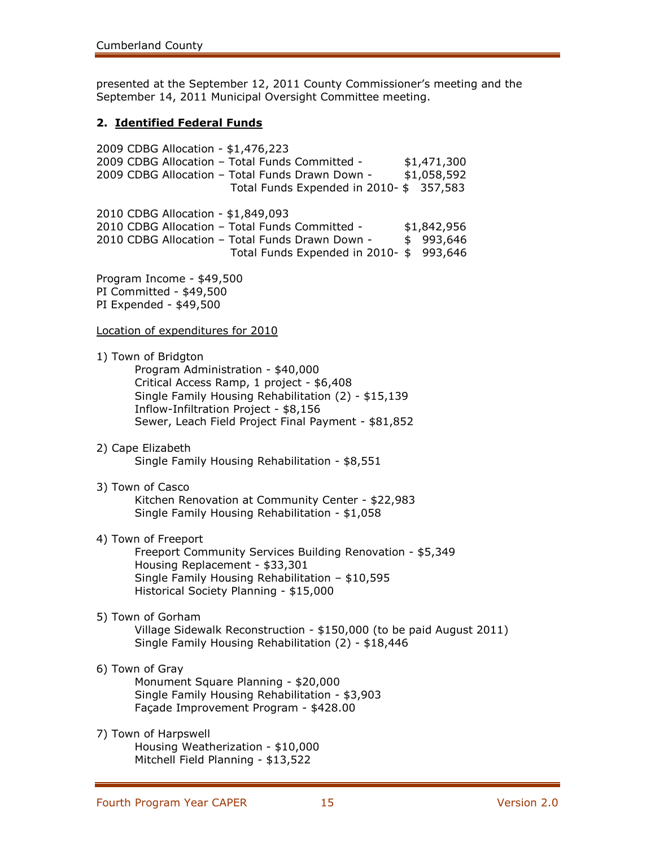presented at the September 12, 2011 County Commissioner's meeting and the September 14, 2011 Municipal Oversight Committee meeting.

### **2. Identified Federal Funds**

2009 CDBG Allocation - \$1,476,223 2009 CDBG Allocation - Total Funds Committed - \$1,471,300 2009 CDBG Allocation - Total Funds Drawn Down - \$1,058,592 Total Funds Expended in 2010- \$ 357,583 2010 CDBG Allocation - \$1,849,093 2010 CDBG Allocation - Total Funds Committed - \$1,842,956 2010 CDBG Allocation - Total Funds Drawn Down - \$ 993,646 Total Funds Expended in 2010- \$ 993,646 Program Income - \$49,500 PI Committed - \$49,500 PI Expended - \$49,500 Location of expenditures for 2010 1) Town of Bridgton Program Administration - \$40,000 Critical Access Ramp, 1 project - \$6,408 Single Family Housing Rehabilitation (2) - \$15,139 Inflow-Infiltration Project - \$8,156 Sewer, Leach Field Project Final Payment - \$81,852 2) Cape Elizabeth Single Family Housing Rehabilitation - \$8,551 3) Town of Casco Kitchen Renovation at Community Center - \$22,983 Single Family Housing Rehabilitation - \$1,058 4) Town of Freeport Freeport Community Services Building Renovation - \$5,349 Housing Replacement - \$33,301 Single Family Housing Rehabilitation – \$10,595 Historical Society Planning - \$15,000 5) Town of Gorham Village Sidewalk Reconstruction - \$150,000 (to be paid August 2011) Single Family Housing Rehabilitation (2) - \$18,446 6) Town of Gray Monument Square Planning - \$20,000 Single Family Housing Rehabilitation - \$3,903 Façade Improvement Program - \$428.00 7) Town of Harpswell Housing Weatherization - \$10,000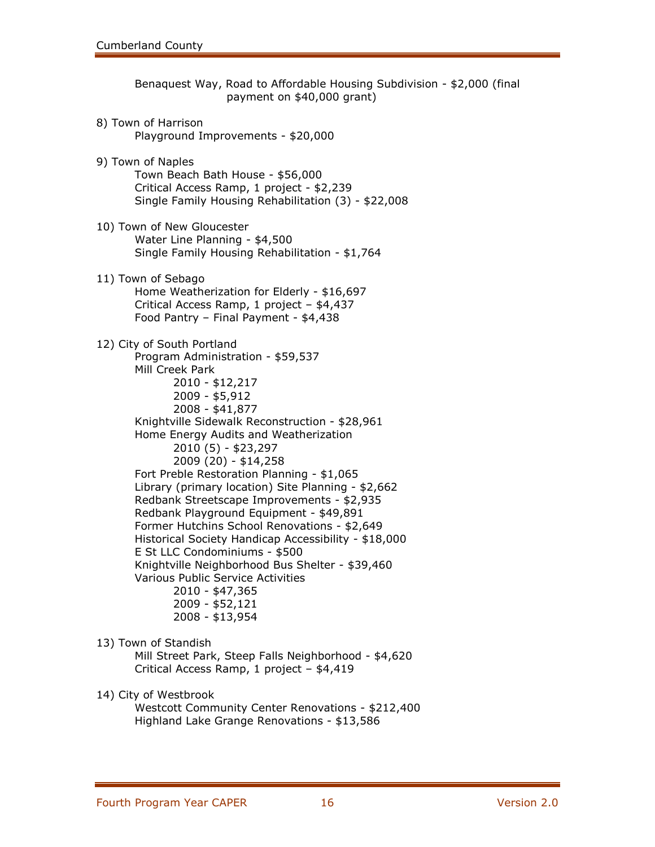Benaquest Way, Road to Affordable Housing Subdivision - \$2,000 (final payment on \$40,000 grant) 8) Town of Harrison Playground Improvements - \$20,000 9) Town of Naples Town Beach Bath House - \$56,000 Critical Access Ramp, 1 project - \$2,239 Single Family Housing Rehabilitation (3) - \$22,008 10) Town of New Gloucester Water Line Planning - \$4,500 Single Family Housing Rehabilitation - \$1,764 11) Town of Sebago Home Weatherization for Elderly - \$16,697 Critical Access Ramp, 1 project – \$4,437 Food Pantry – Final Payment - \$4,438 12) City of South Portland Program Administration - \$59,537 Mill Creek Park 2010 - \$12,217 2009 - \$5,912 2008 - \$41,877 Knightville Sidewalk Reconstruction - \$28,961 Home Energy Audits and Weatherization 2010 (5) - \$23,297 2009 (20) - \$14,258 Fort Preble Restoration Planning - \$1,065 Library (primary location) Site Planning - \$2,662 Redbank Streetscape Improvements - \$2,935 Redbank Playground Equipment - \$49,891 Former Hutchins School Renovations - \$2,649 Historical Society Handicap Accessibility - \$18,000 E St LLC Condominiums - \$500 Knightville Neighborhood Bus Shelter - \$39,460 Various Public Service Activities 2010 - \$47,365 2009 - \$52,121 2008 - \$13,954 13) Town of Standish Mill Street Park, Steep Falls Neighborhood - \$4,620 Critical Access Ramp, 1 project – \$4,419 14) City of Westbrook Westcott Community Center Renovations - \$212,400

Highland Lake Grange Renovations - \$13,586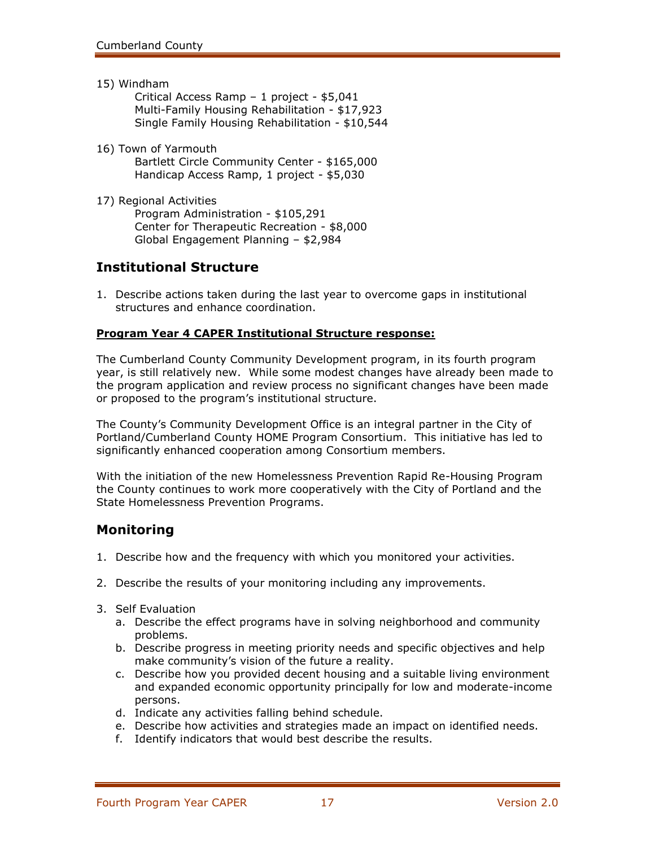15) Windham

Critical Access Ramp – 1 project - \$5,041 Multi-Family Housing Rehabilitation - \$17,923 Single Family Housing Rehabilitation - \$10,544

16) Town of Yarmouth

Bartlett Circle Community Center - \$165,000 Handicap Access Ramp, 1 project - \$5,030

17) Regional Activities Program Administration - \$105,291 Center for Therapeutic Recreation - \$8,000 Global Engagement Planning – \$2,984

# **Institutional Structure**

1. Describe actions taken during the last year to overcome gaps in institutional structures and enhance coordination.

### **Program Year 4 CAPER Institutional Structure response:**

The Cumberland County Community Development program, in its fourth program year, is still relatively new. While some modest changes have already been made to the program application and review process no significant changes have been made or proposed to the program's institutional structure.

The County's Community Development Office is an integral partner in the City of Portland/Cumberland County HOME Program Consortium. This initiative has led to significantly enhanced cooperation among Consortium members.

With the initiation of the new Homelessness Prevention Rapid Re-Housing Program the County continues to work more cooperatively with the City of Portland and the State Homelessness Prevention Programs.

# **Monitoring**

- 1. Describe how and the frequency with which you monitored your activities.
- 2. Describe the results of your monitoring including any improvements.
- 3. Self Evaluation
	- a. Describe the effect programs have in solving neighborhood and community problems.
	- b. Describe progress in meeting priority needs and specific objectives and help make community's vision of the future a reality.
	- c. Describe how you provided decent housing and a suitable living environment and expanded economic opportunity principally for low and moderate-income persons.
	- d. Indicate any activities falling behind schedule.
	- e. Describe how activities and strategies made an impact on identified needs.
	- f. Identify indicators that would best describe the results.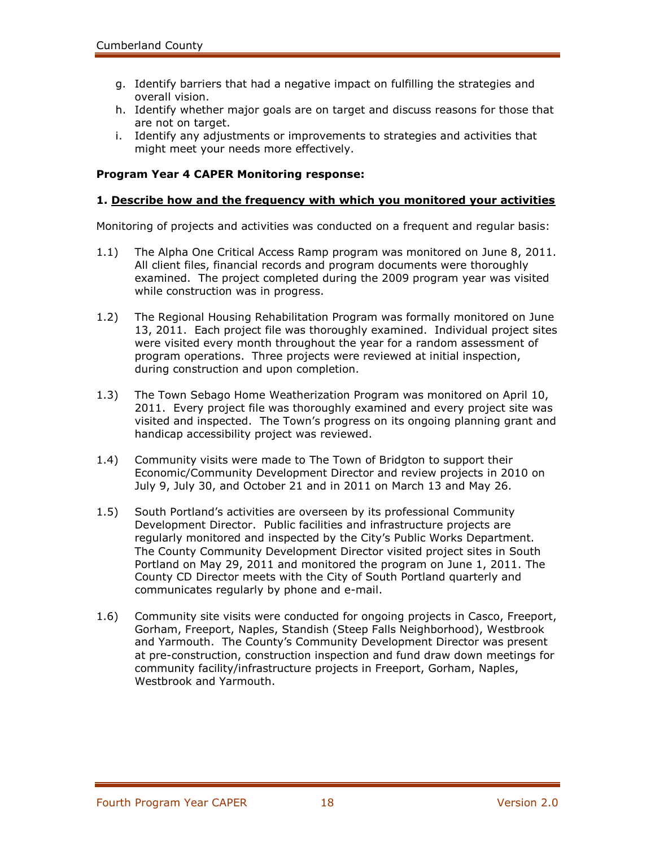- g. Identify barriers that had a negative impact on fulfilling the strategies and overall vision.
- h. Identify whether major goals are on target and discuss reasons for those that are not on target.
- i. Identify any adjustments or improvements to strategies and activities that might meet your needs more effectively.

### **Program Year 4 CAPER Monitoring response:**

#### **1. Describe how and the frequency with which you monitored your activities**

Monitoring of projects and activities was conducted on a frequent and regular basis:

- 1.1) The Alpha One Critical Access Ramp program was monitored on June 8, 2011. All client files, financial records and program documents were thoroughly examined. The project completed during the 2009 program year was visited while construction was in progress.
- 1.2) The Regional Housing Rehabilitation Program was formally monitored on June 13, 2011. Each project file was thoroughly examined. Individual project sites were visited every month throughout the year for a random assessment of program operations. Three projects were reviewed at initial inspection, during construction and upon completion.
- 1.3) The Town Sebago Home Weatherization Program was monitored on April 10, 2011. Every project file was thoroughly examined and every project site was visited and inspected. The Town's progress on its ongoing planning grant and handicap accessibility project was reviewed.
- 1.4) Community visits were made to The Town of Bridgton to support their Economic/Community Development Director and review projects in 2010 on July 9, July 30, and October 21 and in 2011 on March 13 and May 26.
- 1.5) South Portland's activities are overseen by its professional Community Development Director. Public facilities and infrastructure projects are regularly monitored and inspected by the City's Public Works Department. The County Community Development Director visited project sites in South Portland on May 29, 2011 and monitored the program on June 1, 2011. The County CD Director meets with the City of South Portland quarterly and communicates regularly by phone and e-mail.
- 1.6) Community site visits were conducted for ongoing projects in Casco, Freeport, Gorham, Freeport, Naples, Standish (Steep Falls Neighborhood), Westbrook and Yarmouth. The County's Community Development Director was present at pre-construction, construction inspection and fund draw down meetings for community facility/infrastructure projects in Freeport, Gorham, Naples, Westbrook and Yarmouth.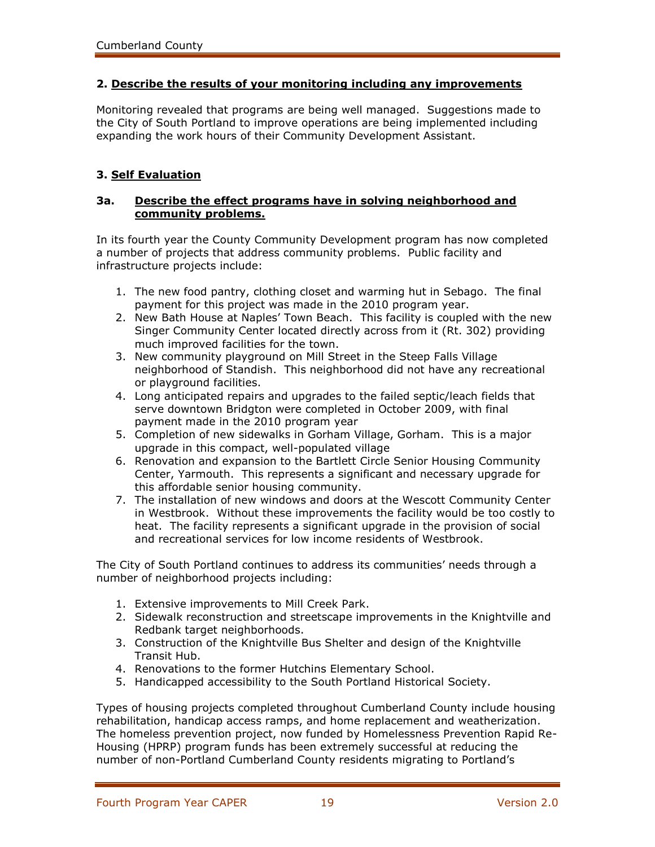### **2. Describe the results of your monitoring including any improvements**

Monitoring revealed that programs are being well managed. Suggestions made to the City of South Portland to improve operations are being implemented including expanding the work hours of their Community Development Assistant.

### **3. Self Evaluation**

### **3a. Describe the effect programs have in solving neighborhood and community problems.**

In its fourth year the County Community Development program has now completed a number of projects that address community problems. Public facility and infrastructure projects include:

- 1. The new food pantry, clothing closet and warming hut in Sebago. The final payment for this project was made in the 2010 program year.
- 2. New Bath House at Naples' Town Beach. This facility is coupled with the new Singer Community Center located directly across from it (Rt. 302) providing much improved facilities for the town.
- 3. New community playground on Mill Street in the Steep Falls Village neighborhood of Standish. This neighborhood did not have any recreational or playground facilities.
- 4. Long anticipated repairs and upgrades to the failed septic/leach fields that serve downtown Bridgton were completed in October 2009, with final payment made in the 2010 program year
- 5. Completion of new sidewalks in Gorham Village, Gorham. This is a major upgrade in this compact, well-populated village
- 6. Renovation and expansion to the Bartlett Circle Senior Housing Community Center, Yarmouth. This represents a significant and necessary upgrade for this affordable senior housing community.
- 7. The installation of new windows and doors at the Wescott Community Center in Westbrook. Without these improvements the facility would be too costly to heat. The facility represents a significant upgrade in the provision of social and recreational services for low income residents of Westbrook.

The City of South Portland continues to address its communities' needs through a number of neighborhood projects including:

- 1. Extensive improvements to Mill Creek Park.
- 2. Sidewalk reconstruction and streetscape improvements in the Knightville and Redbank target neighborhoods.
- 3. Construction of the Knightville Bus Shelter and design of the Knightville Transit Hub.
- 4. Renovations to the former Hutchins Elementary School.
- 5. Handicapped accessibility to the South Portland Historical Society.

Types of housing projects completed throughout Cumberland County include housing rehabilitation, handicap access ramps, and home replacement and weatherization. The homeless prevention project, now funded by Homelessness Prevention Rapid Re-Housing (HPRP) program funds has been extremely successful at reducing the number of non-Portland Cumberland County residents migrating to Portland's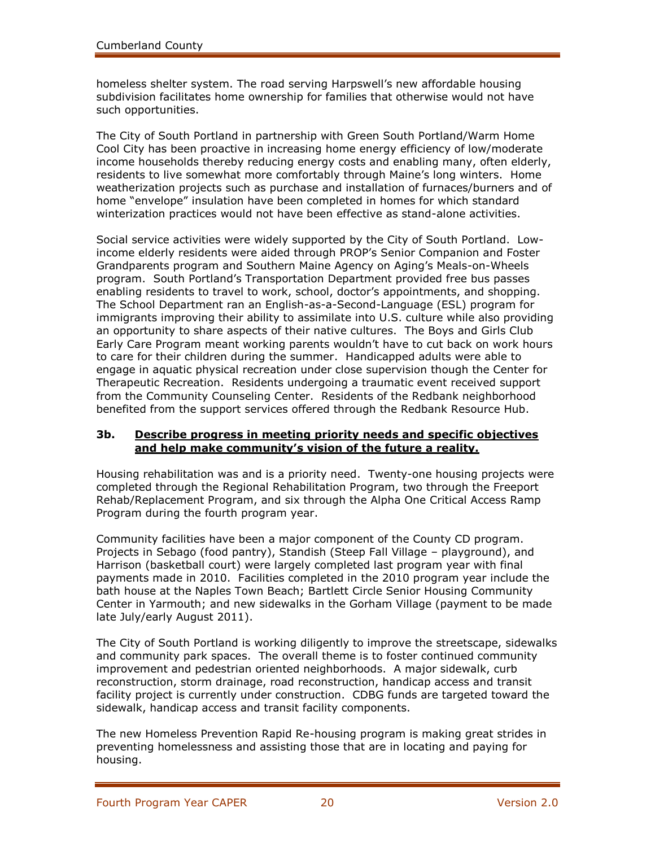homeless shelter system. The road serving Harpswell's new affordable housing subdivision facilitates home ownership for families that otherwise would not have such opportunities.

The City of South Portland in partnership with Green South Portland/Warm Home Cool City has been proactive in increasing home energy efficiency of low/moderate income households thereby reducing energy costs and enabling many, often elderly, residents to live somewhat more comfortably through Maine's long winters. Home weatherization projects such as purchase and installation of furnaces/burners and of home "envelope" insulation have been completed in homes for which standard winterization practices would not have been effective as stand-alone activities.

Social service activities were widely supported by the City of South Portland. Lowincome elderly residents were aided through PROP's Senior Companion and Foster Grandparents program and Southern Maine Agency on Aging's Meals-on-Wheels program. South Portland's Transportation Department provided free bus passes enabling residents to travel to work, school, doctor's appointments, and shopping. The School Department ran an English-as-a-Second-Language (ESL) program for immigrants improving their ability to assimilate into U.S. culture while also providing an opportunity to share aspects of their native cultures. The Boys and Girls Club Early Care Program meant working parents wouldn't have to cut back on work hours to care for their children during the summer. Handicapped adults were able to engage in aquatic physical recreation under close supervision though the Center for Therapeutic Recreation. Residents undergoing a traumatic event received support from the Community Counseling Center. Residents of the Redbank neighborhood benefited from the support services offered through the Redbank Resource Hub.

### **3b. Describe progress in meeting priority needs and specific objectives and help make community's vision of the future a reality.**

Housing rehabilitation was and is a priority need. Twenty-one housing projects were completed through the Regional Rehabilitation Program, two through the Freeport Rehab/Replacement Program, and six through the Alpha One Critical Access Ramp Program during the fourth program year.

Community facilities have been a major component of the County CD program. Projects in Sebago (food pantry), Standish (Steep Fall Village – playground), and Harrison (basketball court) were largely completed last program year with final payments made in 2010. Facilities completed in the 2010 program year include the bath house at the Naples Town Beach; Bartlett Circle Senior Housing Community Center in Yarmouth; and new sidewalks in the Gorham Village (payment to be made late July/early August 2011).

The City of South Portland is working diligently to improve the streetscape, sidewalks and community park spaces. The overall theme is to foster continued community improvement and pedestrian oriented neighborhoods. A major sidewalk, curb reconstruction, storm drainage, road reconstruction, handicap access and transit facility project is currently under construction. CDBG funds are targeted toward the sidewalk, handicap access and transit facility components.

The new Homeless Prevention Rapid Re-housing program is making great strides in preventing homelessness and assisting those that are in locating and paying for housing.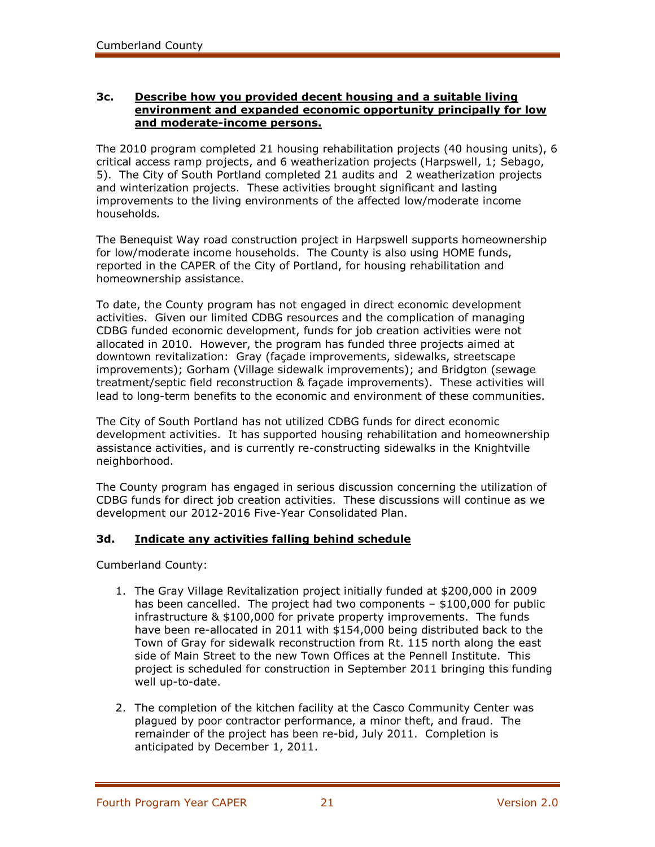### **3c. Describe how you provided decent housing and a suitable living environment and expanded economic opportunity principally for low and moderate-income persons.**

The 2010 program completed 21 housing rehabilitation projects (40 housing units), 6 critical access ramp projects, and 6 weatherization projects (Harpswell, 1; Sebago, 5). The City of South Portland completed 21 audits and 2 weatherization projects and winterization projects. These activities brought significant and lasting improvements to the living environments of the affected low/moderate income households*.* 

The Benequist Way road construction project in Harpswell supports homeownership for low/moderate income households. The County is also using HOME funds, reported in the CAPER of the City of Portland, for housing rehabilitation and homeownership assistance.

To date, the County program has not engaged in direct economic development activities. Given our limited CDBG resources and the complication of managing CDBG funded economic development, funds for job creation activities were not allocated in 2010.However, the program has funded three projects aimed at downtown revitalization: Gray (façade improvements, sidewalks, streetscape improvements); Gorham (Village sidewalk improvements); and Bridgton (sewage treatment/septic field reconstruction & façade improvements). These activities will lead to long-term benefits to the economic and environment of these communities.

The City of South Portland has not utilized CDBG funds for direct economic development activities. It has supported housing rehabilitation and homeownership assistance activities, and is currently re-constructing sidewalks in the Knightville neighborhood.

The County program has engaged in serious discussion concerning the utilization of CDBG funds for direct job creation activities. These discussions will continue as we development our 2012-2016 Five-Year Consolidated Plan.

### **3d. Indicate any activities falling behind schedule**

Cumberland County:

- 1. The Gray Village Revitalization project initially funded at \$200,000 in 2009 has been cancelled. The project had two components – \$100,000 for public infrastructure & \$100,000 for private property improvements. The funds have been re-allocated in 2011 with \$154,000 being distributed back to the Town of Gray for sidewalk reconstruction from Rt. 115 north along the east side of Main Street to the new Town Offices at the Pennell Institute. This project is scheduled for construction in September 2011 bringing this funding well up-to-date.
- 2. The completion of the kitchen facility at the Casco Community Center was plagued by poor contractor performance, a minor theft, and fraud. The remainder of the project has been re-bid, July 2011. Completion is anticipated by December 1, 2011.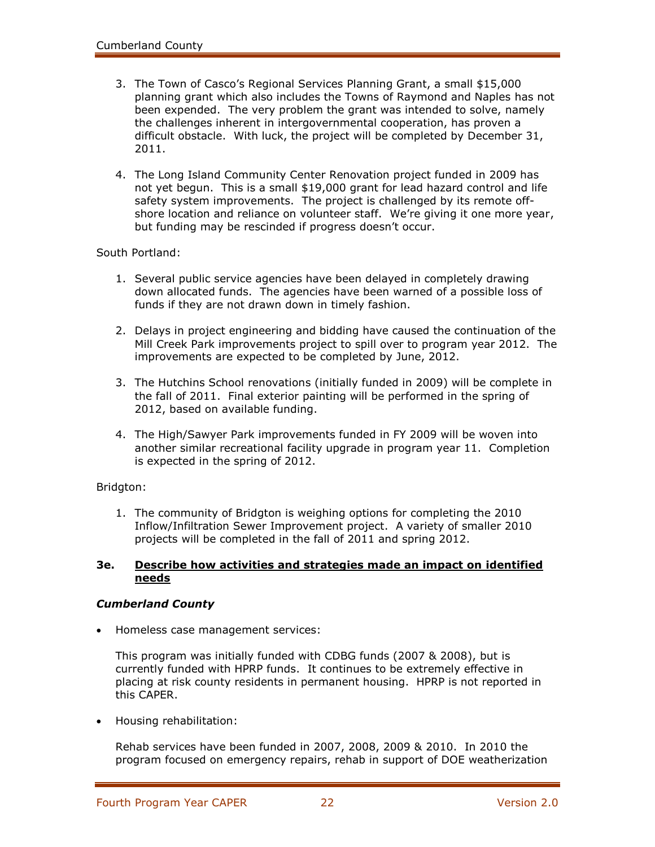- 3. The Town of Casco's Regional Services Planning Grant, a small \$15,000 planning grant which also includes the Towns of Raymond and Naples has not been expended. The very problem the grant was intended to solve, namely the challenges inherent in intergovernmental cooperation, has proven a difficult obstacle. With luck, the project will be completed by December 31, 2011.
- 4. The Long Island Community Center Renovation project funded in 2009 has not yet begun. This is a small \$19,000 grant for lead hazard control and life safety system improvements. The project is challenged by its remote offshore location and reliance on volunteer staff. We're giving it one more year, but funding may be rescinded if progress doesn't occur.

#### South Portland:

- 1. Several public service agencies have been delayed in completely drawing down allocated funds. The agencies have been warned of a possible loss of funds if they are not drawn down in timely fashion.
- 2. Delays in project engineering and bidding have caused the continuation of the Mill Creek Park improvements project to spill over to program year 2012. The improvements are expected to be completed by June, 2012.
- 3. The Hutchins School renovations (initially funded in 2009) will be complete in the fall of 2011. Final exterior painting will be performed in the spring of 2012, based on available funding.
- 4. The High/Sawyer Park improvements funded in FY 2009 will be woven into another similar recreational facility upgrade in program year 11. Completion is expected in the spring of 2012.

#### Bridgton:

1. The community of Bridgton is weighing options for completing the 2010 Inflow/Infiltration Sewer Improvement project. A variety of smaller 2010 projects will be completed in the fall of 2011 and spring 2012.

#### **3e. Describe how activities and strategies made an impact on identified needs**

#### *Cumberland County*

Homeless case management services:

This program was initially funded with CDBG funds (2007 & 2008), but is currently funded with HPRP funds. It continues to be extremely effective in placing at risk county residents in permanent housing. HPRP is not reported in this CAPER.

Housing rehabilitation:

Rehab services have been funded in 2007, 2008, 2009 & 2010. In 2010 the program focused on emergency repairs, rehab in support of DOE weatherization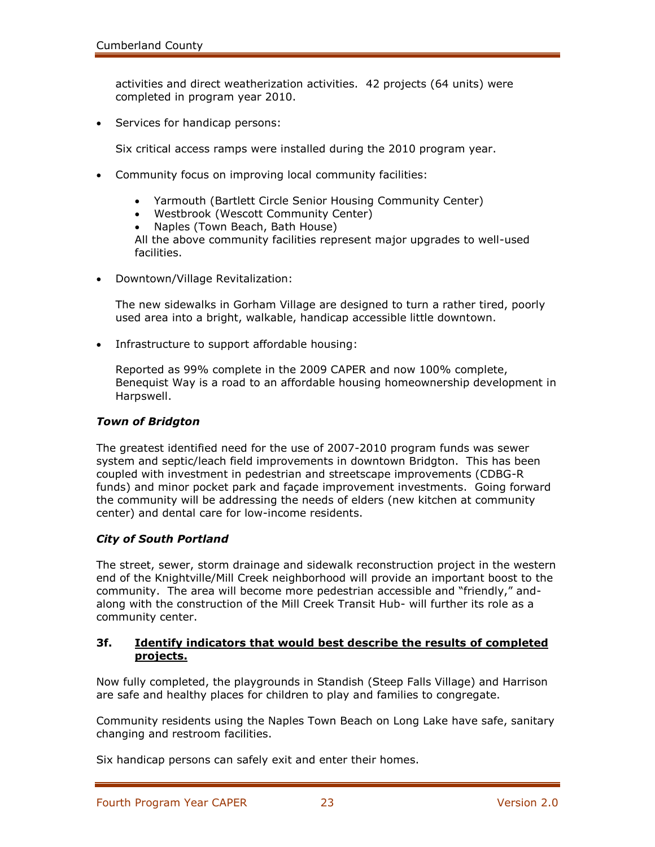activities and direct weatherization activities. 42 projects (64 units) were completed in program year 2010.

• Services for handicap persons:

Six critical access ramps were installed during the 2010 program year.

- Community focus on improving local community facilities:
	- Yarmouth (Bartlett Circle Senior Housing Community Center)
	- Westbrook (Wescott Community Center)
	- Naples (Town Beach, Bath House)

All the above community facilities represent major upgrades to well-used facilities.

Downtown/Village Revitalization:

The new sidewalks in Gorham Village are designed to turn a rather tired, poorly used area into a bright, walkable, handicap accessible little downtown.

• Infrastructure to support affordable housing:

Reported as 99% complete in the 2009 CAPER and now 100% complete, Benequist Way is a road to an affordable housing homeownership development in Harpswell.

#### *Town of Bridgton*

The greatest identified need for the use of 2007-2010 program funds was sewer system and septic/leach field improvements in downtown Bridgton. This has been coupled with investment in pedestrian and streetscape improvements (CDBG-R funds) and minor pocket park and façade improvement investments. Going forward the community will be addressing the needs of elders (new kitchen at community center) and dental care for low-income residents.

### *City of South Portland*

The street, sewer, storm drainage and sidewalk reconstruction project in the western end of the Knightville/Mill Creek neighborhood will provide an important boost to the community. The area will become more pedestrian accessible and "friendly," andalong with the construction of the Mill Creek Transit Hub- will further its role as a community center.

### **3f. Identify indicators that would best describe the results of completed projects.**

Now fully completed, the playgrounds in Standish (Steep Falls Village) and Harrison are safe and healthy places for children to play and families to congregate.

Community residents using the Naples Town Beach on Long Lake have safe, sanitary changing and restroom facilities.

Six handicap persons can safely exit and enter their homes.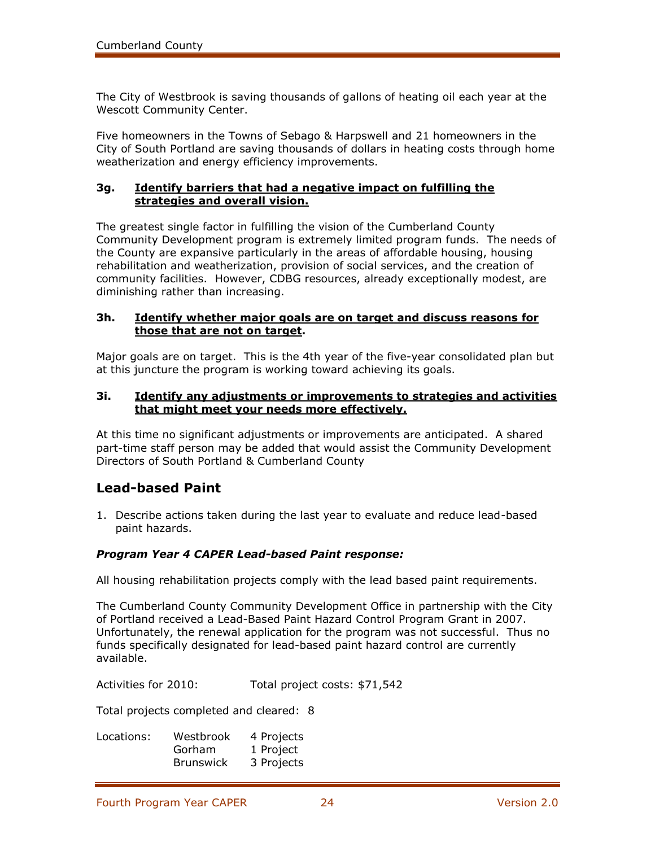The City of Westbrook is saving thousands of gallons of heating oil each year at the Wescott Community Center.

Five homeowners in the Towns of Sebago & Harpswell and 21 homeowners in the City of South Portland are saving thousands of dollars in heating costs through home weatherization and energy efficiency improvements.

### **3g. Identify barriers that had a negative impact on fulfilling the strategies and overall vision.**

The greatest single factor in fulfilling the vision of the Cumberland County Community Development program is extremely limited program funds. The needs of the County are expansive particularly in the areas of affordable housing, housing rehabilitation and weatherization, provision of social services, and the creation of community facilities. However, CDBG resources, already exceptionally modest, are diminishing rather than increasing.

#### **3h. Identify whether major goals are on target and discuss reasons for those that are not on target.**

Major goals are on target. This is the 4th year of the five-year consolidated plan but at this juncture the program is working toward achieving its goals.

#### **3i. Identify any adjustments or improvements to strategies and activities that might meet your needs more effectively.**

At this time no significant adjustments or improvements are anticipated. A shared part-time staff person may be added that would assist the Community Development Directors of South Portland & Cumberland County

# **Lead-based Paint**

1. Describe actions taken during the last year to evaluate and reduce lead-based paint hazards.

### *Program Year 4 CAPER Lead-based Paint response:*

All housing rehabilitation projects comply with the lead based paint requirements.

The Cumberland County Community Development Office in partnership with the City of Portland received a Lead-Based Paint Hazard Control Program Grant in 2007. Unfortunately, the renewal application for the program was not successful. Thus no funds specifically designated for lead-based paint hazard control are currently available.

Activities for 2010: Total project costs: \$71,542

Total projects completed and cleared: 8

| Locations: | Westbrook        | 4 Projects |
|------------|------------------|------------|
|            | Gorham           | 1 Project  |
|            | <b>Brunswick</b> | 3 Projects |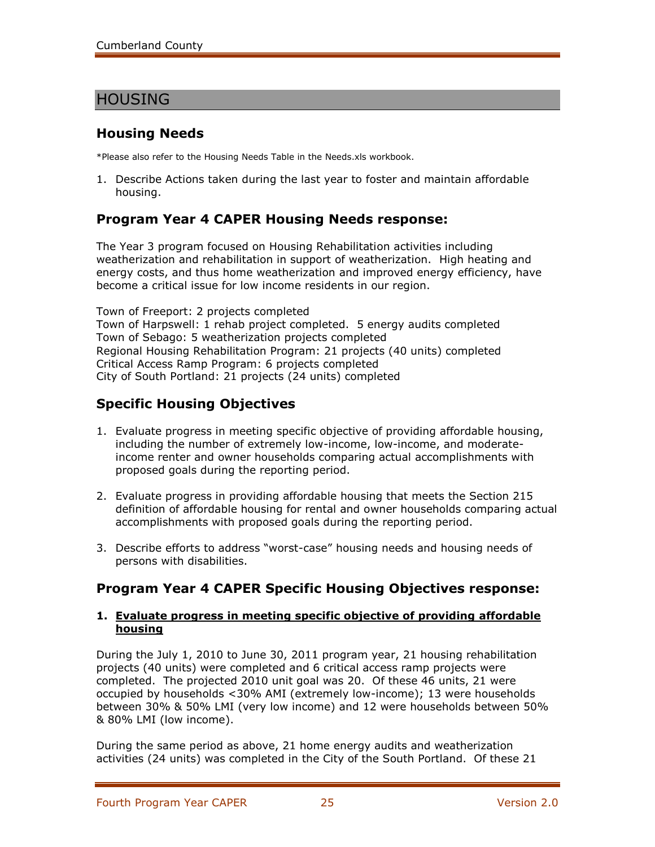# HOUSING

# **Housing Needs**

\*Please also refer to the Housing Needs Table in the Needs.xls workbook.

1. Describe Actions taken during the last year to foster and maintain affordable housing.

# **Program Year 4 CAPER Housing Needs response:**

The Year 3 program focused on Housing Rehabilitation activities including weatherization and rehabilitation in support of weatherization. High heating and energy costs, and thus home weatherization and improved energy efficiency, have become a critical issue for low income residents in our region.

Town of Freeport: 2 projects completed Town of Harpswell: 1 rehab project completed. 5 energy audits completed Town of Sebago: 5 weatherization projects completed Regional Housing Rehabilitation Program: 21 projects (40 units) completed Critical Access Ramp Program: 6 projects completed City of South Portland: 21 projects (24 units) completed

# **Specific Housing Objectives**

- 1. Evaluate progress in meeting specific objective of providing affordable housing, including the number of extremely low-income, low-income, and moderateincome renter and owner households comparing actual accomplishments with proposed goals during the reporting period.
- 2. Evaluate progress in providing affordable housing that meets the Section 215 definition of affordable housing for rental and owner households comparing actual accomplishments with proposed goals during the reporting period.
- 3. Describe efforts to address "worst-case" housing needs and housing needs of persons with disabilities.

# **Program Year 4 CAPER Specific Housing Objectives response:**

#### **1. Evaluate progress in meeting specific objective of providing affordable housing**

During the July 1, 2010 to June 30, 2011 program year, 21 housing rehabilitation projects (40 units) were completed and 6 critical access ramp projects were completed. The projected 2010 unit goal was 20. Of these 46 units, 21 were occupied by households <30% AMI (extremely low-income); 13 were households between 30% & 50% LMI (very low income) and 12 were households between 50% & 80% LMI (low income).

During the same period as above, 21 home energy audits and weatherization activities (24 units) was completed in the City of the South Portland. Of these 21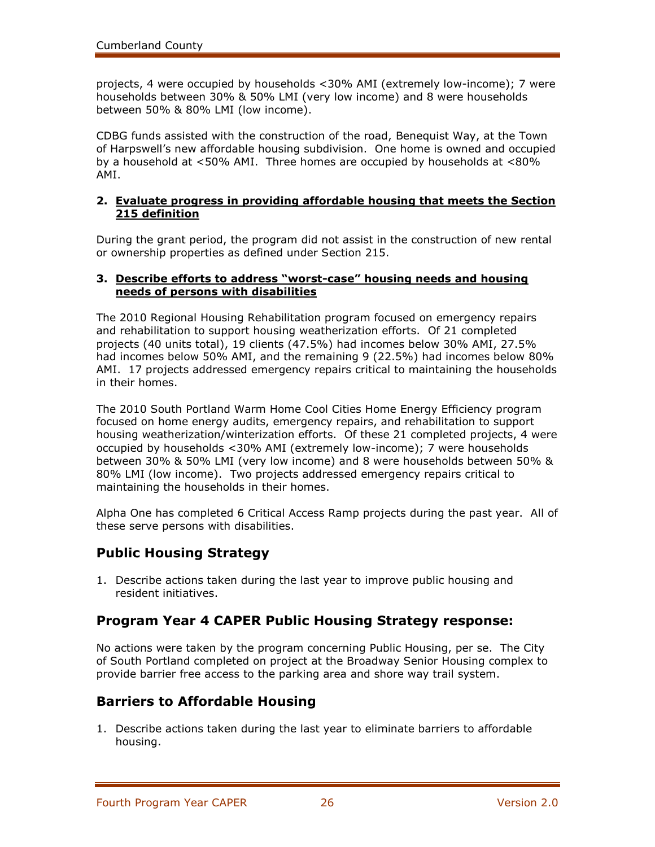projects, 4 were occupied by households <30% AMI (extremely low-income); 7 were households between 30% & 50% LMI (very low income) and 8 were households between 50% & 80% LMI (low income).

CDBG funds assisted with the construction of the road, Benequist Way, at the Town of Harpswell's new affordable housing subdivision. One home is owned and occupied by a household at <50% AMI. Three homes are occupied by households at <80% AMI.

### **2. Evaluate progress in providing affordable housing that meets the Section 215 definition**

During the grant period, the program did not assist in the construction of new rental or ownership properties as defined under Section 215.

### **3. Describe efforts to address "worst-case" housing needs and housing needs of persons with disabilities**

The 2010 Regional Housing Rehabilitation program focused on emergency repairs and rehabilitation to support housing weatherization efforts. Of 21 completed projects (40 units total), 19 clients (47.5%) had incomes below 30% AMI, 27.5% had incomes below 50% AMI, and the remaining 9 (22.5%) had incomes below 80% AMI. 17 projects addressed emergency repairs critical to maintaining the households in their homes.

The 2010 South Portland Warm Home Cool Cities Home Energy Efficiency program focused on home energy audits, emergency repairs, and rehabilitation to support housing weatherization/winterization efforts. Of these 21 completed projects, 4 were occupied by households <30% AMI (extremely low-income); 7 were households between 30% & 50% LMI (very low income) and 8 were households between 50% & 80% LMI (low income). Two projects addressed emergency repairs critical to maintaining the households in their homes.

Alpha One has completed 6 Critical Access Ramp projects during the past year. All of these serve persons with disabilities.

# **Public Housing Strategy**

1. Describe actions taken during the last year to improve public housing and resident initiatives.

# **Program Year 4 CAPER Public Housing Strategy response:**

No actions were taken by the program concerning Public Housing, per se. The City of South Portland completed on project at the Broadway Senior Housing complex to provide barrier free access to the parking area and shore way trail system.

# **Barriers to Affordable Housing**

1. Describe actions taken during the last year to eliminate barriers to affordable housing.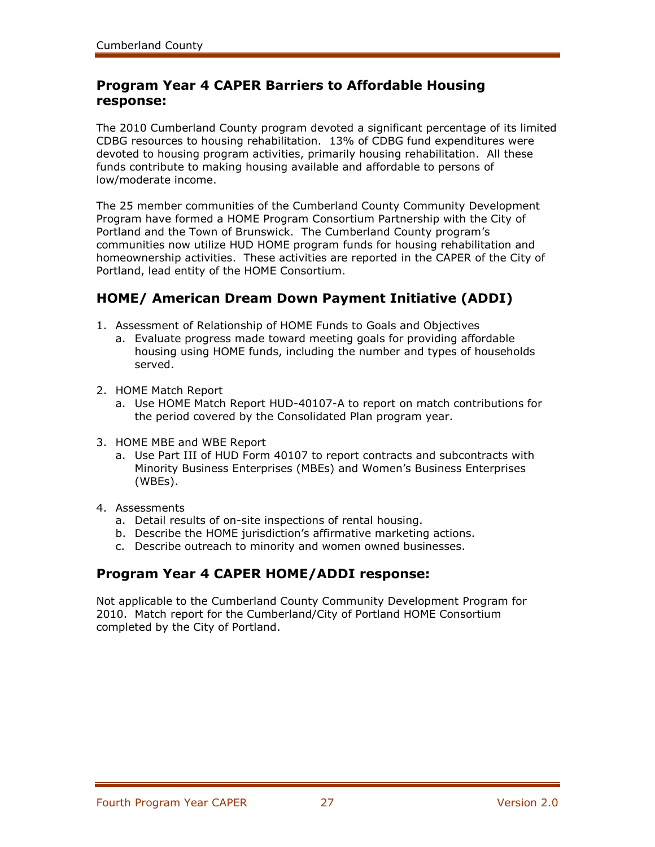# **Program Year 4 CAPER Barriers to Affordable Housing response:**

The 2010 Cumberland County program devoted a significant percentage of its limited CDBG resources to housing rehabilitation. 13% of CDBG fund expenditures were devoted to housing program activities, primarily housing rehabilitation. All these funds contribute to making housing available and affordable to persons of low/moderate income.

The 25 member communities of the Cumberland County Community Development Program have formed a HOME Program Consortium Partnership with the City of Portland and the Town of Brunswick. The Cumberland County program's communities now utilize HUD HOME program funds for housing rehabilitation and homeownership activities. These activities are reported in the CAPER of the City of Portland, lead entity of the HOME Consortium.

# **HOME/ American Dream Down Payment Initiative (ADDI)**

- 1. Assessment of Relationship of HOME Funds to Goals and Objectives
	- a. Evaluate progress made toward meeting goals for providing affordable housing using HOME funds, including the number and types of households served.
- 2. HOME Match Report
	- a. Use HOME Match Report HUD-40107-A to report on match contributions for the period covered by the Consolidated Plan program year.
- 3. HOME MBE and WBE Report
	- a. Use Part III of HUD Form 40107 to report contracts and subcontracts with Minority Business Enterprises (MBEs) and Women's Business Enterprises (WBEs).
- 4. Assessments
	- a. Detail results of on-site inspections of rental housing.
	- b. Describe the HOME jurisdiction's affirmative marketing actions.
	- c. Describe outreach to minority and women owned businesses.

# **Program Year 4 CAPER HOME/ADDI response:**

Not applicable to the Cumberland County Community Development Program for 2010. Match report for the Cumberland/City of Portland HOME Consortium completed by the City of Portland.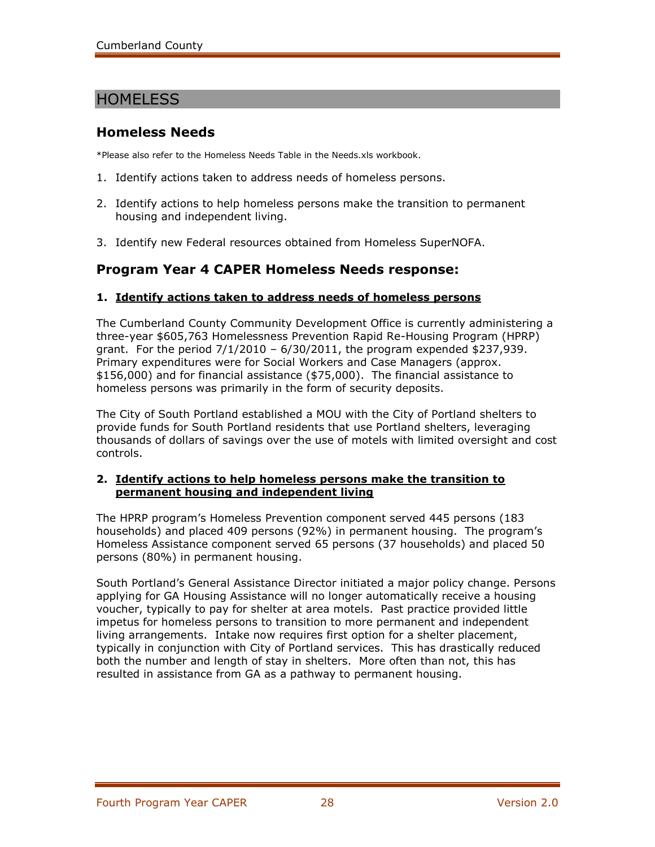# **HOMELESS**

### **Homeless Needs**

\*Please also refer to the Homeless Needs Table in the Needs.xls workbook.

- 1. Identify actions taken to address needs of homeless persons.
- 2. Identify actions to help homeless persons make the transition to permanent housing and independent living.
- 3. Identify new Federal resources obtained from Homeless SuperNOFA.

# **Program Year 4 CAPER Homeless Needs response:**

### **1. Identify actions taken to address needs of homeless persons**

The Cumberland County Community Development Office is currently administering a three-year \$605,763 Homelessness Prevention Rapid Re-Housing Program (HPRP) grant. For the period  $7/1/2010 - 6/30/2011$ , the program expended \$237,939. Primary expenditures were for Social Workers and Case Managers (approx. \$156,000) and for financial assistance (\$75,000). The financial assistance to homeless persons was primarily in the form of security deposits.

The City of South Portland established a MOU with the City of Portland shelters to provide funds for South Portland residents that use Portland shelters, leveraging thousands of dollars of savings over the use of motels with limited oversight and cost controls.

#### **2. Identify actions to help homeless persons make the transition to permanent housing and independent living**

The HPRP program's Homeless Prevention component served 445 persons (183 households) and placed 409 persons (92%) in permanent housing. The program's Homeless Assistance component served 65 persons (37 households) and placed 50 persons (80%) in permanent housing.

South Portland's General Assistance Director initiated a major policy change. Persons applying for GA Housing Assistance will no longer automatically receive a housing voucher, typically to pay for shelter at area motels. Past practice provided little impetus for homeless persons to transition to more permanent and independent living arrangements. Intake now requires first option for a shelter placement, typically in conjunction with City of Portland services. This has drastically reduced both the number and length of stay in shelters. More often than not, this has resulted in assistance from GA as a pathway to permanent housing.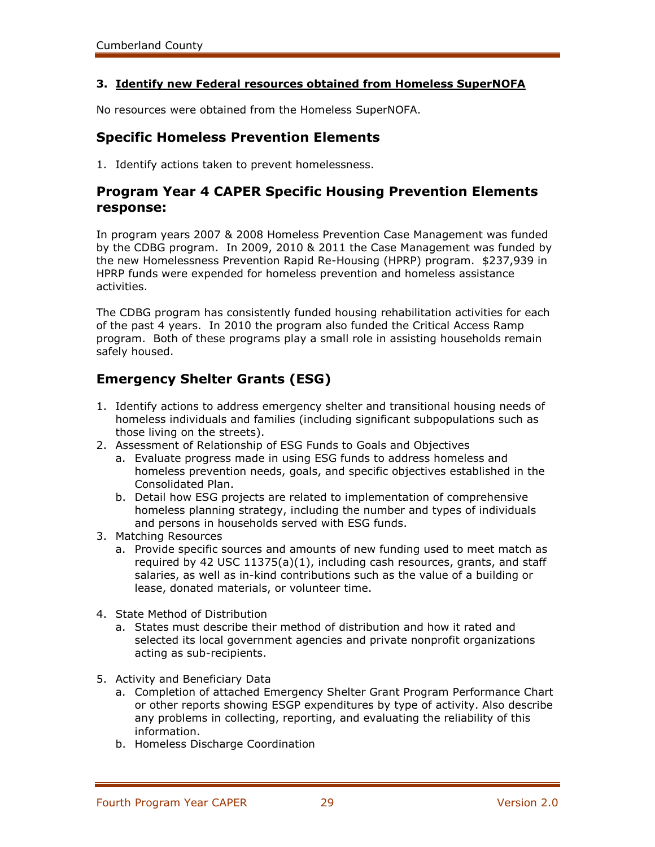### **3. Identify new Federal resources obtained from Homeless SuperNOFA**

No resources were obtained from the Homeless SuperNOFA.

### **Specific Homeless Prevention Elements**

1. Identify actions taken to prevent homelessness.

### **Program Year 4 CAPER Specific Housing Prevention Elements response:**

In program years 2007 & 2008 Homeless Prevention Case Management was funded by the CDBG program. In 2009, 2010 & 2011 the Case Management was funded by the new Homelessness Prevention Rapid Re-Housing (HPRP) program. \$237,939 in HPRP funds were expended for homeless prevention and homeless assistance activities.

The CDBG program has consistently funded housing rehabilitation activities for each of the past 4 years. In 2010 the program also funded the Critical Access Ramp program. Both of these programs play a small role in assisting households remain safely housed.

# **Emergency Shelter Grants (ESG)**

- 1. Identify actions to address emergency shelter and transitional housing needs of homeless individuals and families (including significant subpopulations such as those living on the streets).
- 2. Assessment of Relationship of ESG Funds to Goals and Objectives
	- a. Evaluate progress made in using ESG funds to address homeless and homeless prevention needs, goals, and specific objectives established in the Consolidated Plan.
	- b. Detail how ESG projects are related to implementation of comprehensive homeless planning strategy, including the number and types of individuals and persons in households served with ESG funds.
- 3. Matching Resources
	- a. Provide specific sources and amounts of new funding used to meet match as required by 42 USC 11375(a)(1), including cash resources, grants, and staff salaries, as well as in-kind contributions such as the value of a building or lease, donated materials, or volunteer time.
- 4. State Method of Distribution
	- a. States must describe their method of distribution and how it rated and selected its local government agencies and private nonprofit organizations acting as sub-recipients.
- 5. Activity and Beneficiary Data
	- a. Completion of attached Emergency Shelter Grant Program Performance Chart or other reports showing ESGP expenditures by type of activity. Also describe any problems in collecting, reporting, and evaluating the reliability of this information.
	- b. Homeless Discharge Coordination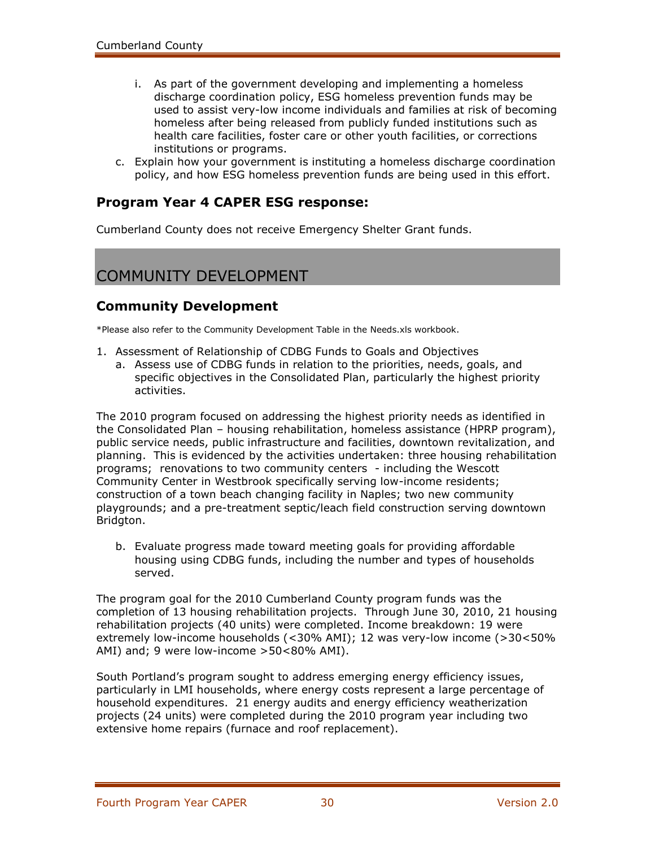- i. As part of the government developing and implementing a homeless discharge coordination policy, ESG homeless prevention funds may be used to assist very-low income individuals and families at risk of becoming homeless after being released from publicly funded institutions such as health care facilities, foster care or other youth facilities, or corrections institutions or programs.
- c. Explain how your government is instituting a homeless discharge coordination policy, and how ESG homeless prevention funds are being used in this effort.

### **Program Year 4 CAPER ESG response:**

Cumberland County does not receive Emergency Shelter Grant funds.

# COMMUNITY DEVELOPMENT

### **Community Development**

\*Please also refer to the Community Development Table in the Needs.xls workbook.

- 1. Assessment of Relationship of CDBG Funds to Goals and Objectives
	- a. Assess use of CDBG funds in relation to the priorities, needs, goals, and specific objectives in the Consolidated Plan, particularly the highest priority activities.

The 2010 program focused on addressing the highest priority needs as identified in the Consolidated Plan – housing rehabilitation, homeless assistance (HPRP program), public service needs, public infrastructure and facilities, downtown revitalization, and planning. This is evidenced by the activities undertaken: three housing rehabilitation programs; renovations to two community centers - including the Wescott Community Center in Westbrook specifically serving low-income residents; construction of a town beach changing facility in Naples; two new community playgrounds; and a pre-treatment septic/leach field construction serving downtown Bridgton.

b. Evaluate progress made toward meeting goals for providing affordable housing using CDBG funds, including the number and types of households served.

The program goal for the 2010 Cumberland County program funds was the completion of 13 housing rehabilitation projects.Through June 30, 2010, 21 housing rehabilitation projects (40 units) were completed. Income breakdown: 19 were extremely low-income households (<30% AMI); 12 was very-low income (>30<50% AMI) and; 9 were low-income >50<80% AMI).

South Portland's program sought to address emerging energy efficiency issues, particularly in LMI households, where energy costs represent a large percentage of household expenditures. 21 energy audits and energy efficiency weatherization projects (24 units) were completed during the 2010 program year including two extensive home repairs (furnace and roof replacement).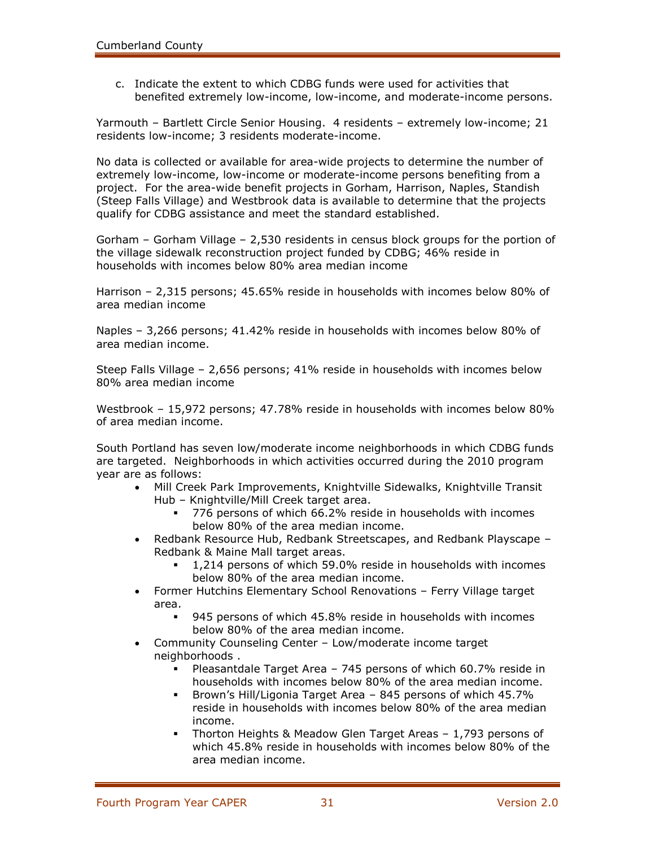c. Indicate the extent to which CDBG funds were used for activities that benefited extremely low-income, low-income, and moderate-income persons.

Yarmouth – Bartlett Circle Senior Housing. 4 residents – extremely low-income; 21 residents low-income; 3 residents moderate-income.

No data is collected or available for area-wide projects to determine the number of extremely low-income, low-income or moderate-income persons benefiting from a project. For the area-wide benefit projects in Gorham, Harrison, Naples, Standish (Steep Falls Village) and Westbrook data is available to determine that the projects qualify for CDBG assistance and meet the standard established.

Gorham – Gorham Village – 2,530 residents in census block groups for the portion of the village sidewalk reconstruction project funded by CDBG; 46% reside in households with incomes below 80% area median income

Harrison – 2,315 persons; 45.65% reside in households with incomes below 80% of area median income

Naples – 3,266 persons; 41.42% reside in households with incomes below 80% of area median income.

Steep Falls Village – 2,656 persons; 41% reside in households with incomes below 80% area median income

Westbrook – 15,972 persons; 47.78% reside in households with incomes below 80% of area median income.

South Portland has seven low/moderate income neighborhoods in which CDBG funds are targeted. Neighborhoods in which activities occurred during the 2010 program year are as follows:

- Mill Creek Park Improvements, Knightville Sidewalks, Knightville Transit Hub – Knightville/Mill Creek target area.
	- 776 persons of which 66.2% reside in households with incomes below 80% of the area median income.
- Redbank Resource Hub, Redbank Streetscapes, and Redbank Playscape Redbank & Maine Mall target areas.
	- 1,214 persons of which 59.0% reside in households with incomes below 80% of the area median income.
- Former Hutchins Elementary School Renovations Ferry Village target area.
	- 945 persons of which 45.8% reside in households with incomes below 80% of the area median income.
- Community Counseling Center Low/moderate income target neighborhoods .
	- Pleasantdale Target Area 745 persons of which 60.7% reside in households with incomes below 80% of the area median income.
	- Brown's Hill/Ligonia Target Area 845 persons of which 45.7% reside in households with incomes below 80% of the area median income.
	- Thorton Heights & Meadow Glen Target Areas 1,793 persons of which 45.8% reside in households with incomes below 80% of the area median income.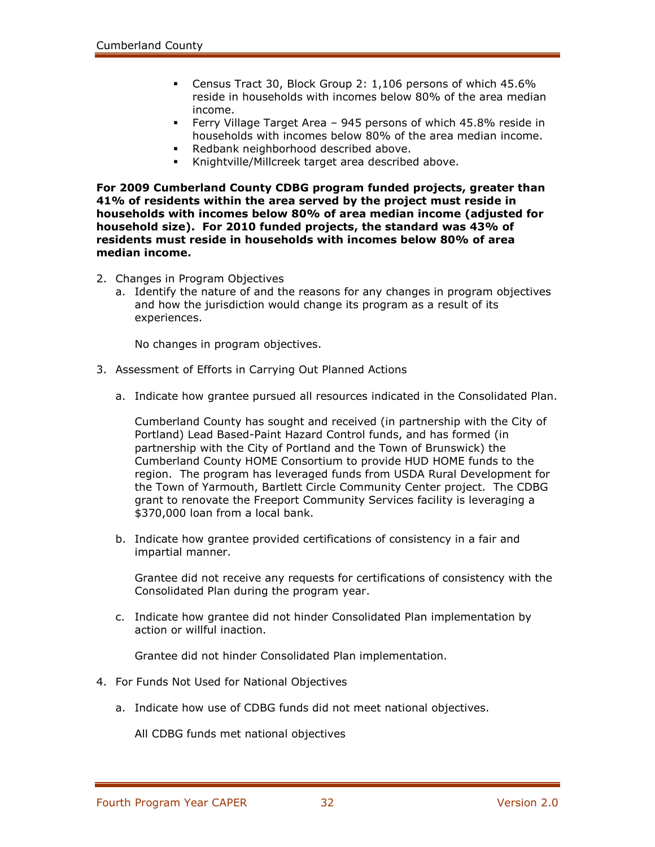- Census Tract 30, Block Group 2: 1,106 persons of which 45.6% reside in households with incomes below 80% of the area median income.
- Ferry Village Target Area 945 persons of which 45.8% reside in households with incomes below 80% of the area median income.
- Redbank neighborhood described above.
- Knightville/Millcreek target area described above.

**For 2009 Cumberland County CDBG program funded projects, greater than 41% of residents within the area served by the project must reside in households with incomes below 80% of area median income (adjusted for household size). For 2010 funded projects, the standard was 43% of residents must reside in households with incomes below 80% of area median income.**

- 2. Changes in Program Objectives
	- a. Identify the nature of and the reasons for any changes in program objectives and how the jurisdiction would change its program as a result of its experiences.

No changes in program objectives.

- 3. Assessment of Efforts in Carrying Out Planned Actions
	- a. Indicate how grantee pursued all resources indicated in the Consolidated Plan.

Cumberland County has sought and received (in partnership with the City of Portland) Lead Based-Paint Hazard Control funds, and has formed (in partnership with the City of Portland and the Town of Brunswick) the Cumberland County HOME Consortium to provide HUD HOME funds to the region. The program has leveraged funds from USDA Rural Development for the Town of Yarmouth, Bartlett Circle Community Center project. The CDBG grant to renovate the Freeport Community Services facility is leveraging a \$370,000 loan from a local bank.

b. Indicate how grantee provided certifications of consistency in a fair and impartial manner.

Grantee did not receive any requests for certifications of consistency with the Consolidated Plan during the program year.

c. Indicate how grantee did not hinder Consolidated Plan implementation by action or willful inaction.

Grantee did not hinder Consolidated Plan implementation.

- 4. For Funds Not Used for National Objectives
	- a. Indicate how use of CDBG funds did not meet national objectives.

All CDBG funds met national objectives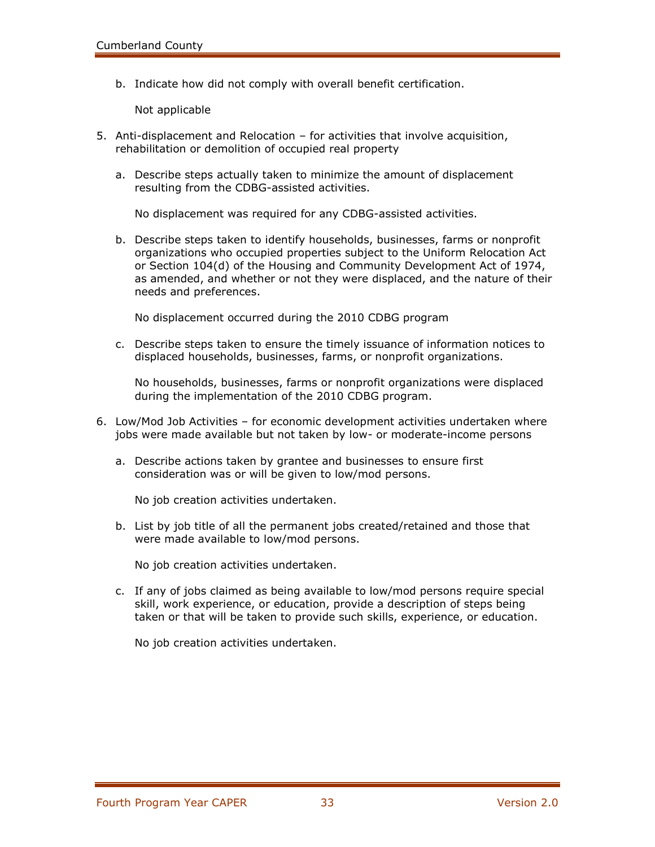b. Indicate how did not comply with overall benefit certification.

Not applicable

- 5. Anti-displacement and Relocation for activities that involve acquisition, rehabilitation or demolition of occupied real property
	- a. Describe steps actually taken to minimize the amount of displacement resulting from the CDBG-assisted activities.

No displacement was required for any CDBG-assisted activities.

b. Describe steps taken to identify households, businesses, farms or nonprofit organizations who occupied properties subject to the Uniform Relocation Act or Section 104(d) of the Housing and Community Development Act of 1974, as amended, and whether or not they were displaced, and the nature of their needs and preferences.

No displacement occurred during the 2010 CDBG program

c. Describe steps taken to ensure the timely issuance of information notices to displaced households, businesses, farms, or nonprofit organizations.

No households, businesses, farms or nonprofit organizations were displaced during the implementation of the 2010 CDBG program.

- 6. Low/Mod Job Activities for economic development activities undertaken where jobs were made available but not taken by low- or moderate-income persons
	- a. Describe actions taken by grantee and businesses to ensure first consideration was or will be given to low/mod persons.

No job creation activities undertaken.

b. List by job title of all the permanent jobs created/retained and those that were made available to low/mod persons.

No job creation activities undertaken.

c. If any of jobs claimed as being available to low/mod persons require special skill, work experience, or education, provide a description of steps being taken or that will be taken to provide such skills, experience, or education.

No job creation activities undertaken.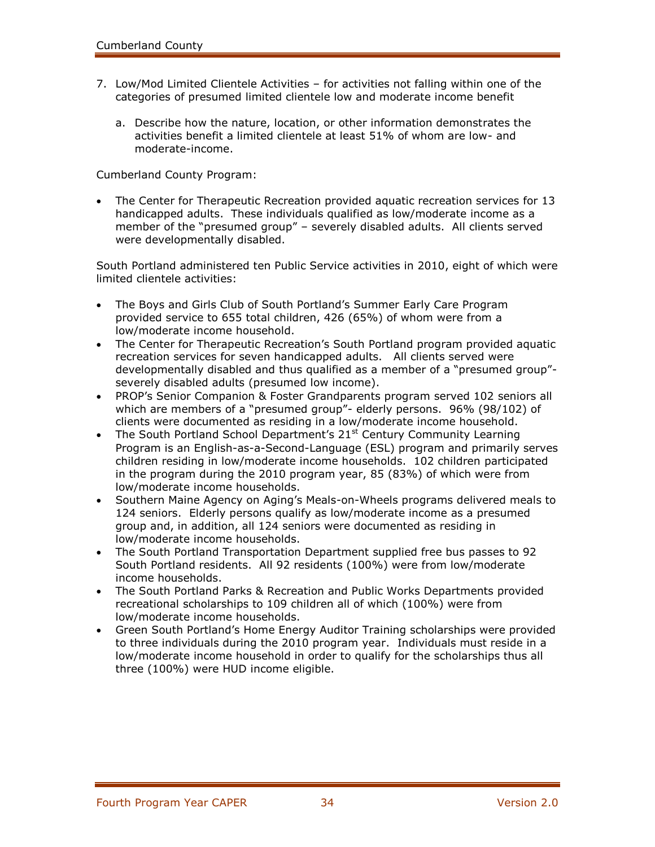- 7. Low/Mod Limited Clientele Activities for activities not falling within one of the categories of presumed limited clientele low and moderate income benefit
	- a. Describe how the nature, location, or other information demonstrates the activities benefit a limited clientele at least 51% of whom are low- and moderate-income.

Cumberland County Program:

 The Center for Therapeutic Recreation provided aquatic recreation services for 13 handicapped adults. These individuals qualified as low/moderate income as a member of the "presumed group" – severely disabled adults. All clients served were developmentally disabled.

South Portland administered ten Public Service activities in 2010, eight of which were limited clientele activities:

- The Boys and Girls Club of South Portland's Summer Early Care Program provided service to 655 total children, 426 (65%) of whom were from a low/moderate income household.
- The Center for Therapeutic Recreation's South Portland program provided aquatic recreation services for seven handicapped adults. All clients served were developmentally disabled and thus qualified as a member of a "presumed group" severely disabled adults (presumed low income).
- PROP's Senior Companion & Foster Grandparents program served 102 seniors all which are members of a "presumed group"- elderly persons. 96% (98/102) of clients were documented as residing in a low/moderate income household.
- The South Portland School Department's  $21<sup>st</sup>$  Century Community Learning Program is an English-as-a-Second-Language (ESL) program and primarily serves children residing in low/moderate income households. 102 children participated in the program during the 2010 program year, 85 (83%) of which were from low/moderate income households.
- Southern Maine Agency on Aging's Meals-on-Wheels programs delivered meals to 124 seniors. Elderly persons qualify as low/moderate income as a presumed group and, in addition, all 124 seniors were documented as residing in low/moderate income households.
- The South Portland Transportation Department supplied free bus passes to 92 South Portland residents. All 92 residents (100%) were from low/moderate income households.
- The South Portland Parks & Recreation and Public Works Departments provided recreational scholarships to 109 children all of which (100%) were from low/moderate income households.
- Green South Portland's Home Energy Auditor Training scholarships were provided to three individuals during the 2010 program year. Individuals must reside in a low/moderate income household in order to qualify for the scholarships thus all three (100%) were HUD income eligible.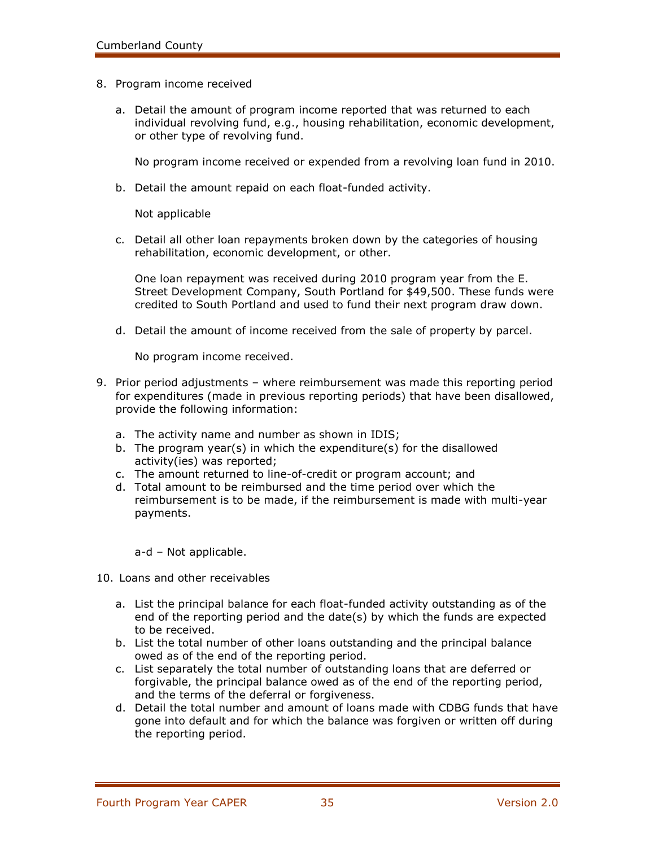- 8. Program income received
	- a. Detail the amount of program income reported that was returned to each individual revolving fund, e.g., housing rehabilitation, economic development, or other type of revolving fund.

No program income received or expended from a revolving loan fund in 2010.

b. Detail the amount repaid on each float-funded activity.

Not applicable

c. Detail all other loan repayments broken down by the categories of housing rehabilitation, economic development, or other.

One loan repayment was received during 2010 program year from the E. Street Development Company, South Portland for \$49,500. These funds were credited to South Portland and used to fund their next program draw down.

d. Detail the amount of income received from the sale of property by parcel.

No program income received.

- 9. Prior period adjustments where reimbursement was made this reporting period for expenditures (made in previous reporting periods) that have been disallowed, provide the following information:
	- a. The activity name and number as shown in IDIS;
	- b. The program year(s) in which the expenditure(s) for the disallowed activity(ies) was reported;
	- c. The amount returned to line-of-credit or program account; and
	- d. Total amount to be reimbursed and the time period over which the reimbursement is to be made, if the reimbursement is made with multi-year payments.

a-d – Not applicable.

- 10. Loans and other receivables
	- a. List the principal balance for each float-funded activity outstanding as of the end of the reporting period and the date(s) by which the funds are expected to be received.
	- b. List the total number of other loans outstanding and the principal balance owed as of the end of the reporting period.
	- c. List separately the total number of outstanding loans that are deferred or forgivable, the principal balance owed as of the end of the reporting period, and the terms of the deferral or forgiveness.
	- d. Detail the total number and amount of loans made with CDBG funds that have gone into default and for which the balance was forgiven or written off during the reporting period.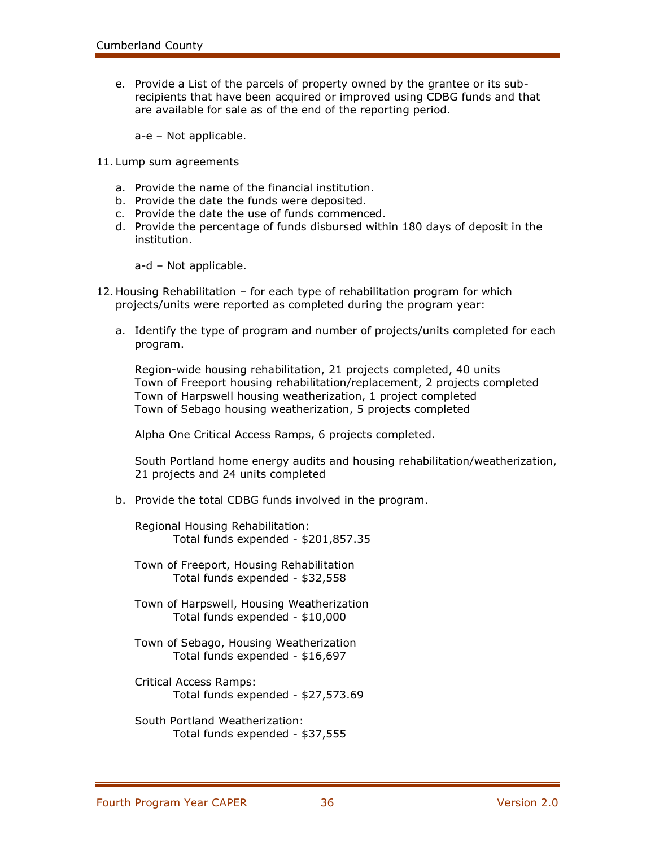e. Provide a List of the parcels of property owned by the grantee or its subrecipients that have been acquired or improved using CDBG funds and that are available for sale as of the end of the reporting period.

a-e – Not applicable.

- 11. Lump sum agreements
	- a. Provide the name of the financial institution.
	- b. Provide the date the funds were deposited.
	- c. Provide the date the use of funds commenced.
	- d. Provide the percentage of funds disbursed within 180 days of deposit in the institution.

a-d – Not applicable.

- 12. Housing Rehabilitation for each type of rehabilitation program for which projects/units were reported as completed during the program year:
	- a. Identify the type of program and number of projects/units completed for each program.

Region-wide housing rehabilitation, 21 projects completed, 40 units Town of Freeport housing rehabilitation/replacement, 2 projects completed Town of Harpswell housing weatherization, 1 project completed Town of Sebago housing weatherization, 5 projects completed

Alpha One Critical Access Ramps, 6 projects completed.

South Portland home energy audits and housing rehabilitation/weatherization, 21 projects and 24 units completed

b. Provide the total CDBG funds involved in the program.

Regional Housing Rehabilitation: Total funds expended - \$201,857.35

Town of Freeport, Housing Rehabilitation Total funds expended - \$32,558

- Town of Harpswell, Housing Weatherization Total funds expended - \$10,000
- Town of Sebago, Housing Weatherization Total funds expended - \$16,697
- Critical Access Ramps: Total funds expended - \$27,573.69
- South Portland Weatherization: Total funds expended - \$37,555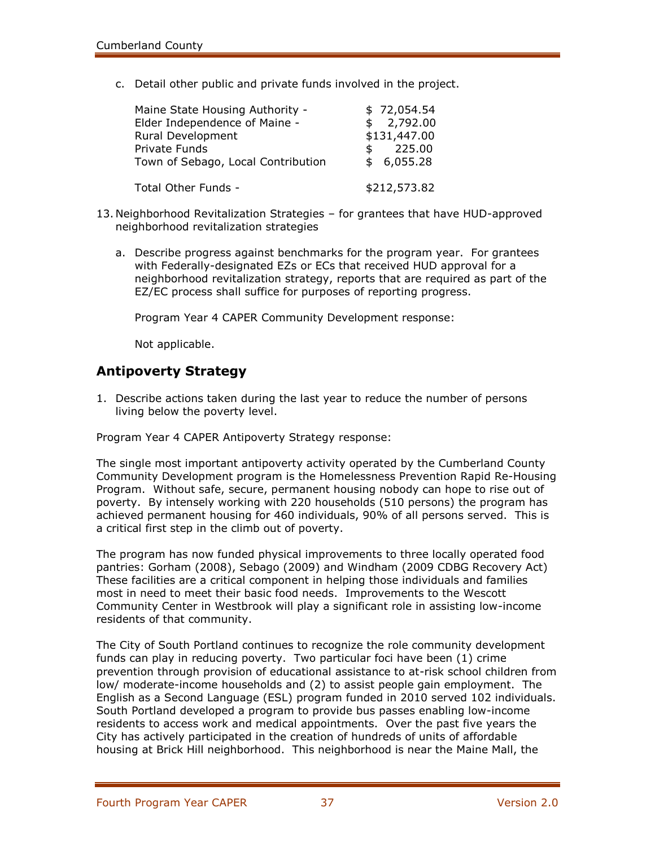c. Detail other public and private funds involved in the project.

| Maine State Housing Authority -<br>Elder Independence of Maine -         | \$72,054.54<br>\$2,792.00                  |
|--------------------------------------------------------------------------|--------------------------------------------|
| Rural Development<br>Private Funds<br>Town of Sebago, Local Contribution | \$131,447.00<br>225.00<br>\$<br>\$6,055.28 |
| Total Other Funds -                                                      | \$212,573.82                               |

- 13. Neighborhood Revitalization Strategies for grantees that have HUD-approved neighborhood revitalization strategies
	- a. Describe progress against benchmarks for the program year. For grantees with Federally-designated EZs or ECs that received HUD approval for a neighborhood revitalization strategy, reports that are required as part of the EZ/EC process shall suffice for purposes of reporting progress.

Program Year 4 CAPER Community Development response:

Not applicable.

### **Antipoverty Strategy**

1. Describe actions taken during the last year to reduce the number of persons living below the poverty level.

Program Year 4 CAPER Antipoverty Strategy response:

The single most important antipoverty activity operated by the Cumberland County Community Development program is the Homelessness Prevention Rapid Re-Housing Program. Without safe, secure, permanent housing nobody can hope to rise out of poverty. By intensely working with 220 households (510 persons) the program has achieved permanent housing for 460 individuals, 90% of all persons served. This is a critical first step in the climb out of poverty.

The program has now funded physical improvements to three locally operated food pantries: Gorham (2008), Sebago (2009) and Windham (2009 CDBG Recovery Act) These facilities are a critical component in helping those individuals and families most in need to meet their basic food needs. Improvements to the Wescott Community Center in Westbrook will play a significant role in assisting low-income residents of that community.

The City of South Portland continues to recognize the role community development funds can play in reducing poverty. Two particular foci have been (1) crime prevention through provision of educational assistance to at-risk school children from low/ moderate-income households and (2) to assist people gain employment. The English as a Second Language (ESL) program funded in 2010 served 102 individuals. South Portland developed a program to provide bus passes enabling low-income residents to access work and medical appointments. Over the past five years the City has actively participated in the creation of hundreds of units of affordable housing at Brick Hill neighborhood. This neighborhood is near the Maine Mall, the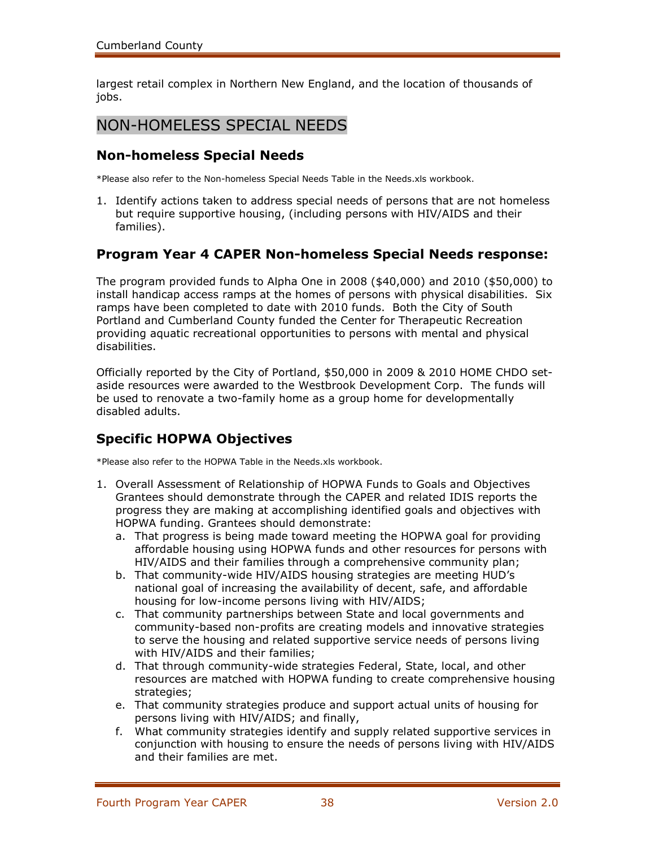largest retail complex in Northern New England, and the location of thousands of jobs.

# NON-HOMELESS SPECIAL NEEDS

# **Non-homeless Special Needs**

\*Please also refer to the Non-homeless Special Needs Table in the Needs.xls workbook.

1. Identify actions taken to address special needs of persons that are not homeless but require supportive housing, (including persons with HIV/AIDS and their families).

# **Program Year 4 CAPER Non-homeless Special Needs response:**

The program provided funds to Alpha One in 2008 (\$40,000) and 2010 (\$50,000) to install handicap access ramps at the homes of persons with physical disabilities. Six ramps have been completed to date with 2010 funds. Both the City of South Portland and Cumberland County funded the Center for Therapeutic Recreation providing aquatic recreational opportunities to persons with mental and physical disabilities.

Officially reported by the City of Portland, \$50,000 in 2009 & 2010 HOME CHDO setaside resources were awarded to the Westbrook Development Corp. The funds will be used to renovate a two-family home as a group home for developmentally disabled adults.

# **Specific HOPWA Objectives**

\*Please also refer to the HOPWA Table in the Needs.xls workbook.

- 1. Overall Assessment of Relationship of HOPWA Funds to Goals and Objectives Grantees should demonstrate through the CAPER and related IDIS reports the progress they are making at accomplishing identified goals and objectives with HOPWA funding. Grantees should demonstrate:
	- a. That progress is being made toward meeting the HOPWA goal for providing affordable housing using HOPWA funds and other resources for persons with HIV/AIDS and their families through a comprehensive community plan;
	- b. That community-wide HIV/AIDS housing strategies are meeting HUD's national goal of increasing the availability of decent, safe, and affordable housing for low-income persons living with HIV/AIDS;
	- c. That community partnerships between State and local governments and community-based non-profits are creating models and innovative strategies to serve the housing and related supportive service needs of persons living with HIV/AIDS and their families;
	- d. That through community-wide strategies Federal, State, local, and other resources are matched with HOPWA funding to create comprehensive housing strategies;
	- e. That community strategies produce and support actual units of housing for persons living with HIV/AIDS; and finally,
	- f. What community strategies identify and supply related supportive services in conjunction with housing to ensure the needs of persons living with HIV/AIDS and their families are met.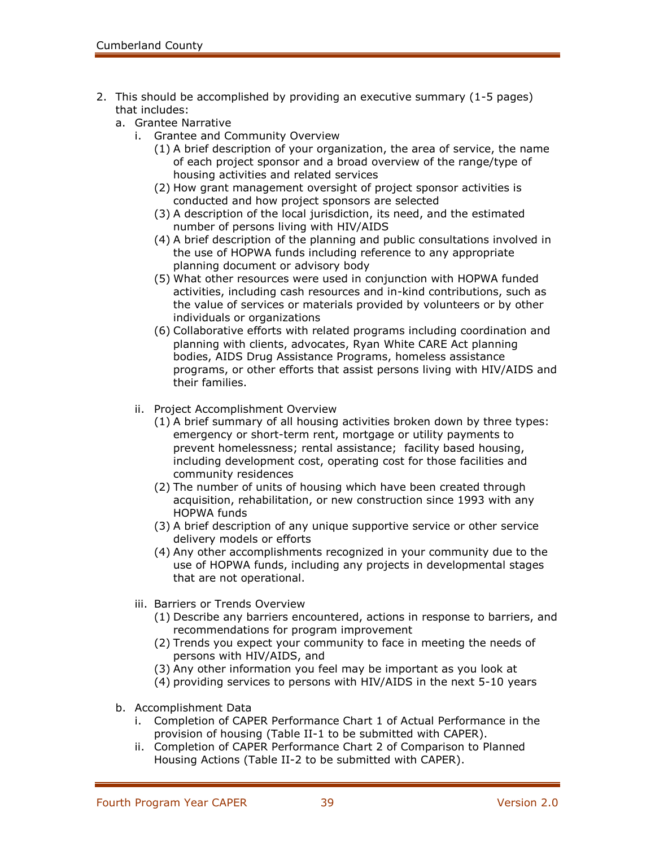- 2. This should be accomplished by providing an executive summary (1-5 pages) that includes:
	- a. Grantee Narrative
		- i. Grantee and Community Overview
			- (1) A brief description of your organization, the area of service, the name of each project sponsor and a broad overview of the range/type of housing activities and related services
			- (2) How grant management oversight of project sponsor activities is conducted and how project sponsors are selected
			- (3) A description of the local jurisdiction, its need, and the estimated number of persons living with HIV/AIDS
			- (4) A brief description of the planning and public consultations involved in the use of HOPWA funds including reference to any appropriate planning document or advisory body
			- (5) What other resources were used in conjunction with HOPWA funded activities, including cash resources and in-kind contributions, such as the value of services or materials provided by volunteers or by other individuals or organizations
			- (6) Collaborative efforts with related programs including coordination and planning with clients, advocates, Ryan White CARE Act planning bodies, AIDS Drug Assistance Programs, homeless assistance programs, or other efforts that assist persons living with HIV/AIDS and their families.
		- ii. Project Accomplishment Overview
			- (1) A brief summary of all housing activities broken down by three types: emergency or short-term rent, mortgage or utility payments to prevent homelessness; rental assistance; facility based housing, including development cost, operating cost for those facilities and community residences
			- (2) The number of units of housing which have been created through acquisition, rehabilitation, or new construction since 1993 with any HOPWA funds
			- (3) A brief description of any unique supportive service or other service delivery models or efforts
			- (4) Any other accomplishments recognized in your community due to the use of HOPWA funds, including any projects in developmental stages that are not operational.
		- iii. Barriers or Trends Overview
			- (1) Describe any barriers encountered, actions in response to barriers, and recommendations for program improvement
			- (2) Trends you expect your community to face in meeting the needs of persons with HIV/AIDS, and
			- (3) Any other information you feel may be important as you look at
			- (4) providing services to persons with HIV/AIDS in the next 5-10 years
	- b. Accomplishment Data
		- i. Completion of CAPER Performance Chart 1 of Actual Performance in the provision of housing (Table II-1 to be submitted with CAPER).
		- ii. Completion of CAPER Performance Chart 2 of Comparison to Planned Housing Actions (Table II-2 to be submitted with CAPER).